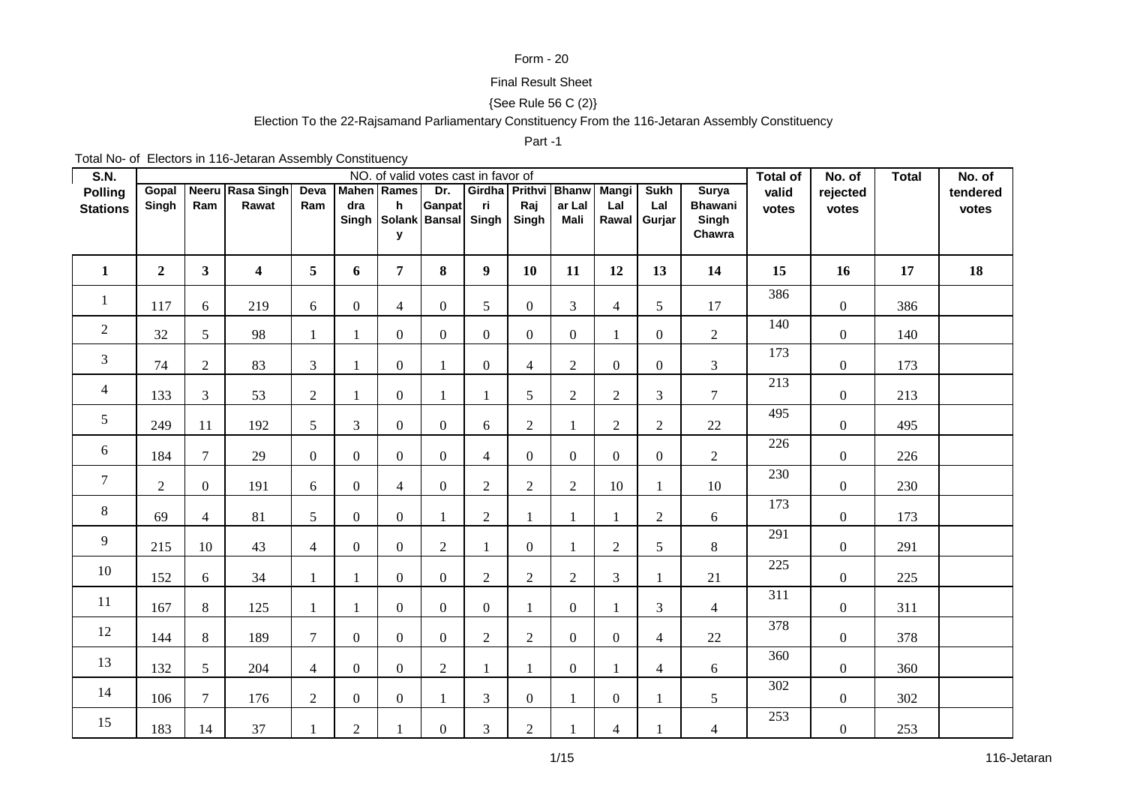## Form - 20

## Final Result Sheet

## {See Rule 56 C (2)}

# Election To the 22-Rajsamand Parliamentary Constituency From the 116-Jetaran Assembly Constituency

#### Part -1

Total No- of Electors in 116-Jetaran Assembly Constituency

| <b>S.N.</b>                       |                |                |                           |                |                  |                                    | NO. of valid votes cast in favor of |                |                  |                                            |                  |                    |                                | <b>Total of</b>  | No. of            | <b>Total</b> | No. of            |
|-----------------------------------|----------------|----------------|---------------------------|----------------|------------------|------------------------------------|-------------------------------------|----------------|------------------|--------------------------------------------|------------------|--------------------|--------------------------------|------------------|-------------------|--------------|-------------------|
| <b>Polling</b><br><b>Stations</b> | Gopal<br>Singh | Ram            | Neeru Rasa Singh<br>Rawat | Deva<br>Ram    | dra              | <b>Mahen</b> Rames<br>$\mathbf{h}$ | Dr.<br>Ganpat                       | ri.            | Raj              | Girdha   Prithvi   Bhanw   Mangi<br>ar Lal | Lal              | <b>Sukh</b><br>Lal | <b>Surya</b><br><b>Bhawani</b> | valid<br>votes   | rejected<br>votes |              | tendered<br>votes |
|                                   |                |                |                           |                |                  |                                    | Singh Solank Bansal Singh           |                | Singh            | Mali                                       |                  | Rawal Gurjar       | Singh<br>Chawra                |                  |                   |              |                   |
|                                   |                |                |                           |                |                  | У                                  |                                     |                |                  |                                            |                  |                    |                                |                  |                   |              |                   |
| $\mathbf{1}$                      | $\overline{2}$ | $\mathbf{3}$   | $\overline{\mathbf{4}}$   | 5              | 6                | $\overline{7}$                     | 8                                   | 9 <sup>°</sup> | 10               | 11                                         | 12               | 13                 | 14                             | 15               | 16                | 17           | 18                |
| $\mathbf{1}$                      | 117            | 6              | 219                       | 6              | $\boldsymbol{0}$ | $\overline{4}$                     | $\overline{0}$                      | 5              | $\boldsymbol{0}$ | $\mathfrak{Z}$                             | $\overline{4}$   | 5                  | 17                             | 386              | $\overline{0}$    | 386          |                   |
| $\overline{2}$                    | 32             | 5              | 98                        | 1              | 1                | $\overline{0}$                     | $\Omega$                            | $\overline{0}$ | $\overline{0}$   | $\overline{0}$                             | $\mathbf{1}$     | $\mathbf{0}$       | $\overline{2}$                 | 140              | $\boldsymbol{0}$  | 140          |                   |
| $\overline{3}$                    | 74             | $\overline{2}$ | 83                        | $\mathfrak{Z}$ | 1                | $\overline{0}$                     | 1                                   | $\overline{0}$ | $\overline{4}$   | $\overline{2}$                             | $\overline{0}$   | $\overline{0}$     | $\overline{3}$                 | 173              | $\boldsymbol{0}$  | 173          |                   |
| $\overline{4}$                    | 133            | 3              | 53                        | $\overline{2}$ | $\mathbf{1}$     | $\overline{0}$                     | 1                                   |                | 5                | $\overline{2}$                             | $\overline{2}$   | 3                  | $\overline{7}$                 | $\overline{213}$ | $\boldsymbol{0}$  | 213          |                   |
| 5                                 | 249            | 11             | 192                       | 5              | 3                | $\overline{0}$                     | $\Omega$                            | 6              | $\overline{c}$   | 1                                          | $\overline{2}$   | $\overline{c}$     | 22                             | 495              | $\overline{0}$    | 495          |                   |
| 6                                 | 184            | $\overline{7}$ | 29                        | $\overline{0}$ | $\boldsymbol{0}$ | $\overline{0}$                     | $\Omega$                            | 4              | $\overline{0}$   | $\overline{0}$                             | $\overline{0}$   | $\mathbf{0}$       | $\overline{2}$                 | 226              | $\overline{0}$    | 226          |                   |
| $\overline{7}$                    | $\overline{2}$ | $\mathbf{0}$   | 191                       | 6              | $\boldsymbol{0}$ | $\overline{4}$                     | $\mathbf{0}$                        | $\overline{2}$ | $\overline{2}$   | $\overline{2}$                             | 10               | 1                  | 10                             | 230              | $\overline{0}$    | 230          |                   |
| 8                                 | 69             | $\overline{4}$ | 81                        | 5              | $\boldsymbol{0}$ | $\overline{0}$                     | 1                                   | $\overline{2}$ | $\mathbf{1}$     | 1                                          | 1                | $\sqrt{2}$         | 6                              | 173              | $\overline{0}$    | 173          |                   |
| 9                                 | 215            | 10             | 43                        | $\overline{4}$ | $\boldsymbol{0}$ | $\overline{0}$                     | $\overline{2}$                      |                | $\overline{0}$   | 1                                          | $\overline{2}$   | 5                  | $8\,$                          | 291              | $\overline{0}$    | 291          |                   |
| 10                                | 152            | 6              | 34                        | 1              | -1               | $\overline{0}$                     | $\Omega$                            | $\overline{2}$ | $\mathbf{2}$     | $\overline{2}$                             | 3                |                    | 21                             | 225              | $\boldsymbol{0}$  | 225          |                   |
| 11                                | 167            | $\,8\,$        | 125                       | 1              | $\mathbf{1}$     | $\overline{0}$                     | $\Omega$                            | $\overline{0}$ | $\mathbf{1}$     | $\overline{0}$                             | 1                | 3                  | $\overline{4}$                 | $\overline{311}$ | $\overline{0}$    | 311          |                   |
| 12                                | 144            | $\,8\,$        | 189                       | $\overline{7}$ | $\boldsymbol{0}$ | $\overline{0}$                     | $\Omega$                            | $\overline{2}$ | $\overline{c}$   | $\overline{0}$                             | $\overline{0}$   | $\overline{4}$     | 22                             | 378              | $\overline{0}$    | 378          |                   |
| 13                                | 132            | 5              | 204                       | $\overline{4}$ | $\boldsymbol{0}$ | $\overline{0}$                     | 2                                   |                | 1                | $\overline{0}$                             | 1                | $\overline{4}$     | 6                              | 360              | $\boldsymbol{0}$  | 360          |                   |
| 14                                | 106            | $\overline{7}$ | 176                       | $\overline{2}$ | $\boldsymbol{0}$ | $\overline{0}$                     | 1                                   | 3              | $\boldsymbol{0}$ | $\mathbf{1}$                               | $\boldsymbol{0}$ |                    | 5                              | 302              | $\overline{0}$    | 302          |                   |
| 15                                | 183            | 14             | 37                        | $\mathbf{1}$   | $\mathbf 2$      |                                    | $\Omega$                            | 3              | $\sqrt{2}$       |                                            | $\overline{4}$   |                    | $\overline{4}$                 | 253              | $\boldsymbol{0}$  | 253          |                   |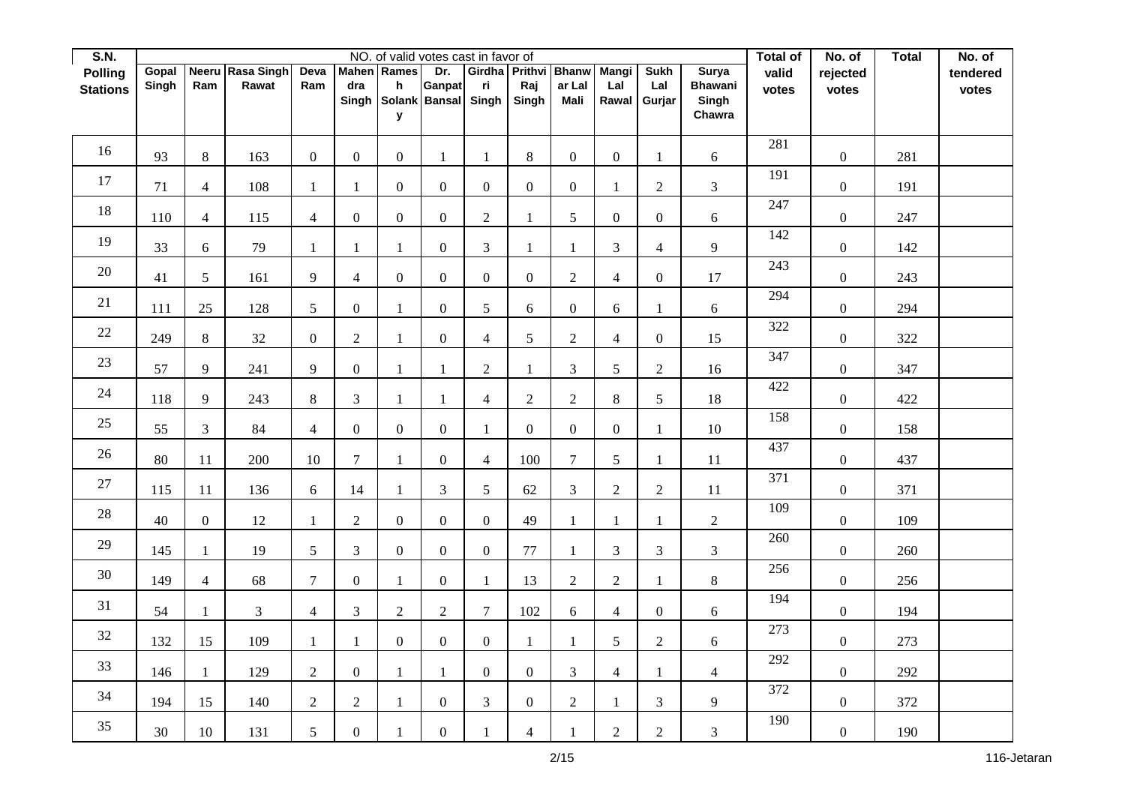| S.N.            |       |                  |                   |                  |                  | NO. of valid votes cast in favor of |                  |                |                      |                       |                |                  |                 | Total of         | No. of           | <b>Total</b> | No. of   |
|-----------------|-------|------------------|-------------------|------------------|------------------|-------------------------------------|------------------|----------------|----------------------|-----------------------|----------------|------------------|-----------------|------------------|------------------|--------------|----------|
| <b>Polling</b>  | Gopal | <b>Neeru</b>     | <b>Rasa Singh</b> | Deva             |                  | <b>Mahen</b> Rames                  | Dr.              |                | Girdha Prithvi Bhanw |                       | Mangi          | <b>Sukh</b>      | <b>Surya</b>    | valid            | rejected         |              | tendered |
| <b>Stations</b> | Singh | Ram              | Rawat             | Ram              | dra              | h<br>Solank Bansal                  | Ganpat           | ri             | Raj                  | ar Lal<br><b>Mali</b> | Lal            | Lal              | <b>Bhawani</b>  | votes            | votes            |              | votes    |
|                 |       |                  |                   |                  | Singh            | У                                   |                  | Singh          | Singh                |                       |                | Rawal Gurjar     | Singh<br>Chawra |                  |                  |              |          |
|                 |       |                  |                   |                  |                  |                                     |                  |                |                      |                       |                |                  |                 |                  |                  |              |          |
| 16              | 93    | 8                | 163               | $\boldsymbol{0}$ | $\boldsymbol{0}$ | $\overline{0}$                      | $\mathbf{1}$     | 1              | $8\,$                | $\mathbf{0}$          | $\overline{0}$ | 1                | 6               | 281              | $\overline{0}$   | 281          |          |
| 17              | 71    | $\overline{4}$   | 108               | $\mathbf{1}$     | 1                | $\overline{0}$                      | $\overline{0}$   | $\overline{0}$ | $\overline{0}$       | $\boldsymbol{0}$      | 1              | $\sqrt{2}$       | 3               | 191              | $\boldsymbol{0}$ | 191          |          |
| $18\,$          | 110   | $\overline{4}$   | 115               | $\overline{4}$   | $\boldsymbol{0}$ | $\overline{0}$                      | $\boldsymbol{0}$ | $\overline{2}$ | $\mathbf{1}$         | 5                     | $\overline{0}$ | $\boldsymbol{0}$ | $\sqrt{6}$      | 247              | $\boldsymbol{0}$ | 247          |          |
| 19              | 33    | 6                | 79                | 1                | 1                | 1                                   | $\overline{0}$   | $\mathfrak{Z}$ | $\mathbf{1}$         | -1                    | 3              | $\overline{4}$   | 9               | 142              | $\overline{0}$   | 142          |          |
| 20              | 41    | 5                | 161               | 9                | $\overline{4}$   | $\mathbf{0}$                        | $\boldsymbol{0}$ | $\overline{0}$ | $\overline{0}$       | $\overline{2}$        | $\overline{4}$ | $\boldsymbol{0}$ | $17\,$          | 243              | $\boldsymbol{0}$ | 243          |          |
| 21              | 111   | 25               | 128               | 5                | $\overline{0}$   | $\mathbf{1}$                        | $\overline{0}$   | 5              | 6                    | $\mathbf{0}$          | 6              | 1                | $\sqrt{6}$      | 294              | $\overline{0}$   | 294          |          |
| 22              | 249   | $8\,$            | 32                | $\boldsymbol{0}$ | $\mathbf{2}$     | $\mathbf{1}$                        | $\boldsymbol{0}$ | $\overline{4}$ | $\mathfrak s$        | $\overline{2}$        | 4              | $\boldsymbol{0}$ | 15              | 322              | $\overline{0}$   | 322          |          |
| 23              | 57    | 9                | 241               | 9                | $\boldsymbol{0}$ | $\mathbf{1}$                        | $\mathbf{1}$     | $\overline{2}$ | $\mathbf{1}$         | $\mathfrak{Z}$        | 5              | $\mathbf{2}$     | 16              | 347              | $\boldsymbol{0}$ | 347          |          |
| $24\,$          | 118   | 9                | 243               | $\,8\,$          | 3                | $\mathbf{1}$                        | $\mathbf{1}$     | $\overline{4}$ | $\overline{2}$       | $\overline{2}$        | $8\,$          | 5                | 18              | 422              | $\overline{0}$   | 422          |          |
| 25              | 55    | $\mathfrak{Z}$   | 84                | $\overline{4}$   | $\boldsymbol{0}$ | $\overline{0}$                      | $\overline{0}$   | 1              | $\mathbf{0}$         | $\mathbf{0}$          | $\overline{0}$ | 1                | $10\,$          | 158              | $\boldsymbol{0}$ | 158          |          |
| 26              | 80    | 11               | 200               | 10               | 7                | $\mathbf{1}$                        | $\boldsymbol{0}$ | $\overline{4}$ | 100                  | $\tau$                | 5              | $\mathbf{1}$     | 11              | 437              | $\boldsymbol{0}$ | 437          |          |
| $27\,$          | 115   | 11               | 136               | 6                | 14               | $\mathbf{1}$                        | 3                | 5              | 62                   | 3                     | $\overline{2}$ | $\sqrt{2}$       | 11              | $\overline{371}$ | $\overline{0}$   | 371          |          |
| 28              | 40    | $\boldsymbol{0}$ | 12                | $\mathbf{1}$     | $\overline{2}$   | $\overline{0}$                      | $\mathbf{0}$     | $\overline{0}$ | 49                   | 1                     | $\mathbf{1}$   | 1                | $\overline{2}$  | 109              | $\overline{0}$   | 109          |          |
| 29              | 145   | $\mathbf{1}$     | 19                | 5                | 3                | $\overline{0}$                      | $\mathbf{0}$     | $\overline{0}$ | $77\,$               | $\overline{1}$        | 3              | $\mathfrak{Z}$   | 3               | 260              | $\boldsymbol{0}$ | 260          |          |
| $30\,$          | 149   | $\overline{4}$   | 68                | $\overline{7}$   | $\overline{0}$   | $\mathbf{1}$                        | $\boldsymbol{0}$ | $\mathbf{1}$   | 13                   | $\overline{2}$        | $\overline{2}$ | $\mathbf{1}$     | $8\,$           | 256              | $\overline{0}$   | 256          |          |
| 31              | 54    | 1                | $\overline{3}$    | $\overline{4}$   | $\mathfrak{Z}$   | $\overline{2}$                      | 2                | $\overline{7}$ | 102                  | $\boldsymbol{6}$      | $\overline{4}$ | $\mathbf{0}$     | $\sqrt{6}$      | 194              | $\boldsymbol{0}$ | 194          |          |
| $32\,$          | 132   | 15               | 109               | $\mathbf{1}$     | 1                | $\overline{0}$                      | $\boldsymbol{0}$ | $\overline{0}$ | $\mathbf{1}$         | $\mathbf{1}$          | 5              | $\sqrt{2}$       | 6               | 273              | $\overline{0}$   | 273          |          |
| 33              | 146   | $\mathbf{1}$     | 129               | $\overline{2}$   | $\mathbf{0}$     | $\mathbf{1}$                        | $\mathbf{1}$     | $\overline{0}$ | $\boldsymbol{0}$     | $\mathfrak{Z}$        | $\overline{4}$ | $\mathbf{1}$     | $\overline{4}$  | 292              | $\boldsymbol{0}$ | 292          |          |
| 34              | 194   | 15               | 140               | $\sqrt{2}$       | $\boldsymbol{2}$ | $\mathbf{1}$                        | $\mathbf{0}$     | 3              | $\overline{0}$       | $\overline{2}$        | $\mathbf{1}$   | 3                | 9               | 372              | $\boldsymbol{0}$ | 372          |          |
| 35              | 30    | 10               | 131               | $\mathfrak{S}$   | $\boldsymbol{0}$ | $\mathbf{1}$                        | $\boldsymbol{0}$ | $\mathbf{1}$   | $\overline{4}$       |                       | $\overline{2}$ | $\overline{c}$   | 3               | 190              | $\boldsymbol{0}$ | 190          |          |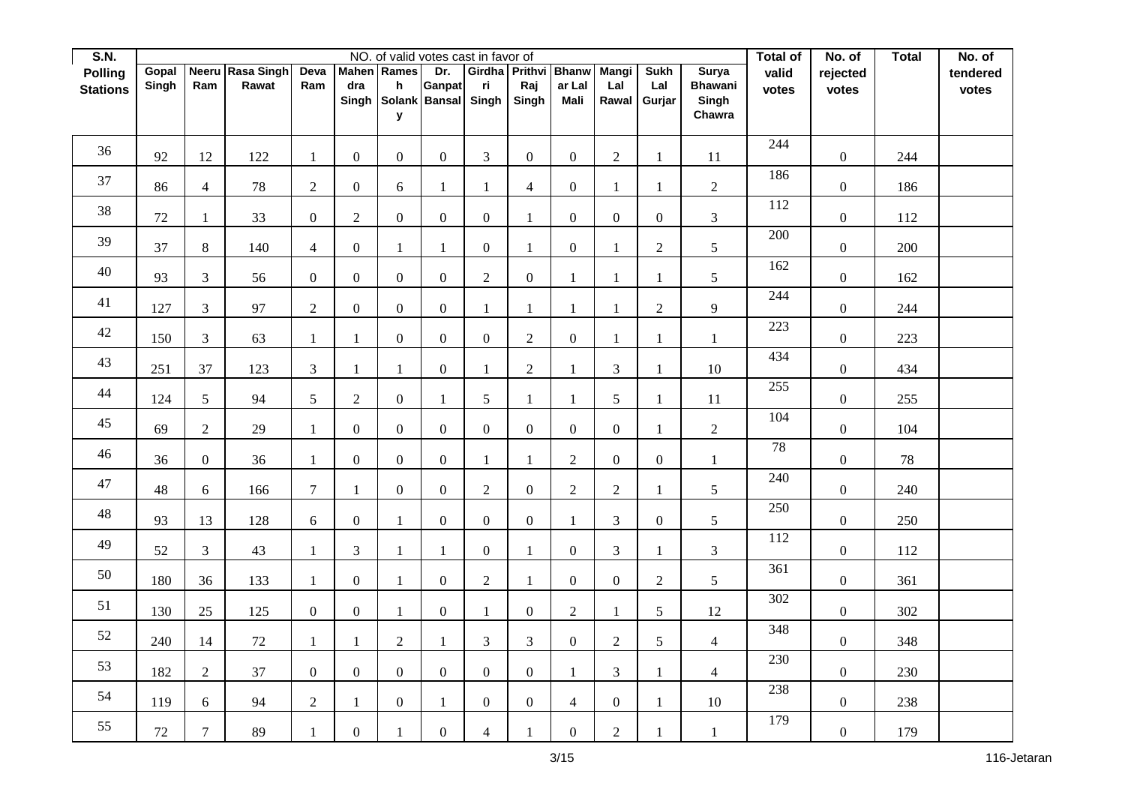| S.N.            |       |                  |                   |                  |                  |                  | NO. of valid votes cast in favor of |                  |                      |                  |                  |                     |                         | Total of | No. of           | <b>Total</b> | No. of   |
|-----------------|-------|------------------|-------------------|------------------|------------------|------------------|-------------------------------------|------------------|----------------------|------------------|------------------|---------------------|-------------------------|----------|------------------|--------------|----------|
| <b>Polling</b>  | Gopal | <b>Neeru</b>     | <b>Rasa Singh</b> | Deva             | <b>Mahen</b>     | Rames            | Dr.                                 |                  | Girdha Prithvi Bhanw |                  | <b>Mangi</b>     | <b>Sukh</b>         | <b>Surya</b>            | valid    | rejected         |              | tendered |
| <b>Stations</b> | Singh | Ram              | Rawat             | Ram              | dra<br>Singh     | h                | Ganpat<br>Solank Bansal             | ri<br>Singh      | Raj<br>Singh         | ar Lal<br>Mali   | Lal              | Lal<br>Rawal Gurjar | <b>Bhawani</b><br>Singh | votes    | votes            |              | votes    |
|                 |       |                  |                   |                  |                  | У                |                                     |                  |                      |                  |                  |                     | Chawra                  |          |                  |              |          |
|                 |       |                  |                   |                  |                  |                  |                                     |                  |                      |                  |                  |                     |                         |          |                  |              |          |
| 36              | 92    | 12               | 122               | $\mathbf{1}$     | $\boldsymbol{0}$ | $\overline{0}$   | $\mathbf{0}$                        | $\mathfrak{Z}$   | $\overline{0}$       | $\mathbf{0}$     | $\overline{2}$   | $\mathbf{1}$        | 11                      | 244      | $\boldsymbol{0}$ | 244          |          |
| 37              | 86    | $\overline{4}$   | $78\,$            | $\sqrt{2}$       | $\overline{0}$   | 6                | $\mathbf{1}$                        |                  | $\overline{4}$       | $\boldsymbol{0}$ | $\mathbf{1}$     | 1                   | $\overline{2}$          | 186      | $\boldsymbol{0}$ | 186          |          |
| $38\,$          | 72    | $\mathbf{1}$     | 33                | $\boldsymbol{0}$ | $\sqrt{2}$       | $\boldsymbol{0}$ | $\boldsymbol{0}$                    | $\overline{0}$   | $\mathbf{1}$         | $\boldsymbol{0}$ | $\boldsymbol{0}$ | $\boldsymbol{0}$    | $\overline{3}$          | 112      | $\boldsymbol{0}$ | 112          |          |
| 39              | 37    | $8\,$            | 140               | $\overline{4}$   | $\boldsymbol{0}$ | 1                | 1                                   | $\overline{0}$   | $\mathbf{1}$         | $\mathbf{0}$     | 1                | $\sqrt{2}$          | 5                       | 200      | $\overline{0}$   | 200          |          |
| 40              | 93    | 3                | 56                | $\boldsymbol{0}$ | $\boldsymbol{0}$ | $\overline{0}$   | $\overline{0}$                      | $\overline{2}$   | $\overline{0}$       | $\mathbf{1}$     | $\mathbf{1}$     | $\mathbf{1}$        | 5                       | 162      | $\boldsymbol{0}$ | 162          |          |
| 41              | 127   | 3                | 97                | $\overline{2}$   | $\mathbf{0}$     | $\overline{0}$   | $\overline{0}$                      | 1                | $\mathbf{1}$         | $\mathbf{1}$     | $\mathbf{1}$     | $\overline{c}$      | 9                       | 244      | $\boldsymbol{0}$ | 244          |          |
| $42\,$          | 150   | $\mathfrak{Z}$   | 63                | $\mathbf{1}$     | $\mathbf{1}$     | $\overline{0}$   | $\boldsymbol{0}$                    | $\boldsymbol{0}$ | $\overline{2}$       | $\boldsymbol{0}$ | $\mathbf{1}$     | $\mathbf{1}$        | $\mathbf{1}$            | 223      | $\boldsymbol{0}$ | 223          |          |
| 43              | 251   | 37               | 123               | 3                | 1                | $\mathbf{1}$     | $\boldsymbol{0}$                    |                  | $\sqrt{2}$           | 1                | 3                | 1                   | 10                      | 434      | $\boldsymbol{0}$ | 434          |          |
| $44\,$          | 124   | 5                | 94                | 5                | $\overline{2}$   | $\overline{0}$   | $\mathbf{1}$                        | 5                | $\mathbf{1}$         | $\mathbf{1}$     | 5                | $\mathbf{1}$        | 11                      | 255      | $\boldsymbol{0}$ | 255          |          |
| 45              | 69    | $\overline{2}$   | 29                | $\mathbf{1}$     | $\boldsymbol{0}$ | $\boldsymbol{0}$ | $\mathbf{0}$                        | $\mathbf{0}$     | $\boldsymbol{0}$     | $\mathbf{0}$     | $\overline{0}$   | $\mathbf{1}$        | $\overline{c}$          | 104      | $\boldsymbol{0}$ | 104          |          |
| 46              | 36    | $\boldsymbol{0}$ | 36                | $\mathbf{1}$     | $\boldsymbol{0}$ | $\overline{0}$   | $\boldsymbol{0}$                    | 1                | $\mathbf{1}$         | $\overline{2}$   | $\mathbf{0}$     | $\boldsymbol{0}$    | $\mathbf{1}$            | 78       | $\boldsymbol{0}$ | $78\,$       |          |
| 47              | 48    | 6                | 166               | $\tau$           | $\mathbf{1}$     | $\overline{0}$   | $\boldsymbol{0}$                    | $\overline{2}$   | $\overline{0}$       | $\overline{2}$   | $\overline{2}$   | $\mathbf{1}$        | 5                       | 240      | $\boldsymbol{0}$ | 240          |          |
| 48              | 93    | 13               | 128               | 6                | $\boldsymbol{0}$ | 1                | $\overline{0}$                      | $\overline{0}$   | $\overline{0}$       | $\mathbf{1}$     | 3                | $\boldsymbol{0}$    | $5\overline{)}$         | 250      | $\boldsymbol{0}$ | 250          |          |
| 49              | 52    | 3                | $43\,$            | $\mathbf{1}$     | 3                | $\mathbf{1}$     | $\mathbf{1}$                        | $\boldsymbol{0}$ | $\mathbf{1}$         | $\boldsymbol{0}$ | 3                | $\mathbf{1}$        | $\mathfrak{Z}$          | 112      | $\boldsymbol{0}$ | 112          |          |
| $50\,$          | 180   | 36               | 133               | $\mathbf{1}$     | $\boldsymbol{0}$ | $\mathbf{1}$     | $\boldsymbol{0}$                    | $\overline{2}$   | $\mathbf{1}$         | $\boldsymbol{0}$ | $\overline{0}$   | $\sqrt{2}$          | 5                       | 361      | $\boldsymbol{0}$ | 361          |          |
| 51              | 130   | $25\,$           | 125               | $\boldsymbol{0}$ | $\overline{0}$   | $\mathbf{1}$     | $\overline{0}$                      | 1                | $\boldsymbol{0}$     | $\sqrt{2}$       | $\mathbf{1}$     | $\sqrt{5}$          | $12\,$                  | 302      | $\boldsymbol{0}$ | 302          |          |
| 52              | 240   | 14               | 72                | $\mathbf{1}$     | $\mathbf{1}$     | $\sqrt{2}$       | $\mathbf{1}$                        | 3                | $\mathfrak{Z}$       | $\boldsymbol{0}$ | $\sqrt{2}$       | 5                   | $\overline{4}$          | 348      | $\boldsymbol{0}$ | 348          |          |
| 53              | 182   | $\overline{2}$   | 37                | $\boldsymbol{0}$ | $\boldsymbol{0}$ | $\overline{0}$   | $\boldsymbol{0}$                    | $\overline{0}$   | $\boldsymbol{0}$     | $\mathbf{1}$     | 3                | $\mathbf{1}$        | $\overline{4}$          | 230      | $\boldsymbol{0}$ | 230          |          |
| 54              | 119   | $\boldsymbol{6}$ | 94                | $\sqrt{2}$       | 1                | $\boldsymbol{0}$ | $\mathbf{1}$                        | $\overline{0}$   | $\boldsymbol{0}$     | $\overline{4}$   | $\boldsymbol{0}$ | $\mathbf{1}$        | $10\,$                  | 238      | $\boldsymbol{0}$ | 238          |          |
| 55              | 72    | $\tau$           | 89                | $\mathbf{1}$     | $\boldsymbol{0}$ | $\mathbf{1}$     | $\boldsymbol{0}$                    | $\overline{4}$   | $\mathbf{1}$         | $\boldsymbol{0}$ | $\sqrt{2}$       | 1                   | $\mathbf{1}$            | 179      | $\boldsymbol{0}$ | 179          |          |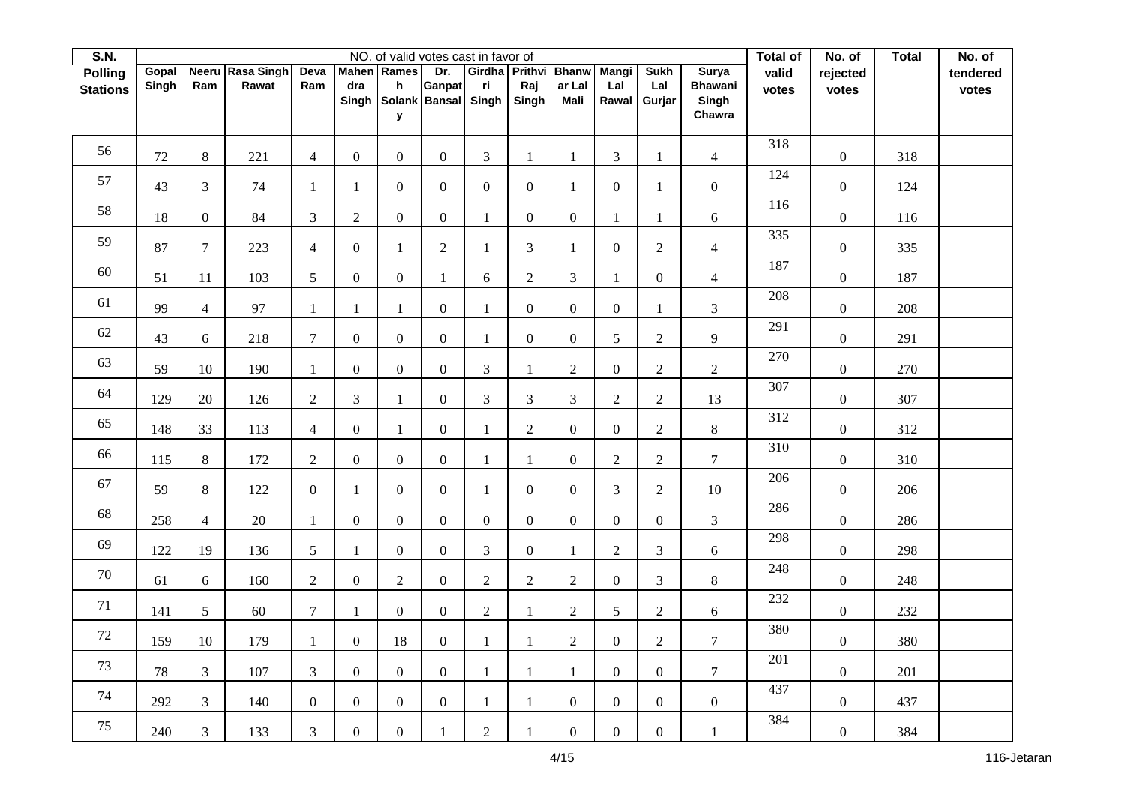| S.N.            |       |                |                  |                  |                  |                  | NO. of valid votes cast in favor of |                |                      |                  |                  |                  |                         | Total of | No. of           | <b>Total</b> | No. of   |
|-----------------|-------|----------------|------------------|------------------|------------------|------------------|-------------------------------------|----------------|----------------------|------------------|------------------|------------------|-------------------------|----------|------------------|--------------|----------|
| <b>Polling</b>  | Gopal |                | Neeru Rasa Singh | Deva             | <b>Mahen</b>     | Rames            | Dr.                                 |                | Girdha Prithvi Bhanw |                  | <b>Mangi</b>     | <b>Sukh</b>      | <b>Surya</b>            | valid    | rejected         |              | tendered |
| <b>Stations</b> | Singh | Ram            | Rawat            | Ram              | dra<br>Singh     | h                | Ganpat<br>Solank Bansal             | ri<br>Singh    | Raj<br>Singh         | ar Lal<br>Mali   | Lal<br>Rawal     | Lal<br>Gurjar    | <b>Bhawani</b><br>Singh | votes    | votes            |              | votes    |
|                 |       |                |                  |                  |                  | У                |                                     |                |                      |                  |                  |                  | Chawra                  |          |                  |              |          |
|                 |       |                |                  |                  |                  |                  |                                     |                |                      |                  |                  |                  |                         |          |                  |              |          |
| 56              | 72    | 8              | 221              | $\overline{4}$   | $\boldsymbol{0}$ | $\overline{0}$   | $\boldsymbol{0}$                    | $\overline{3}$ | $\mathbf{1}$         | $\mathbf{1}$     | 3                | $\mathbf{1}$     | $\overline{4}$          | 318      | $\boldsymbol{0}$ | 318          |          |
| 57              | 43    | $\mathfrak{Z}$ | $74\,$           | $\mathbf{1}$     | 1                | $\mathbf{0}$     | $\mathbf{0}$                        | $\overline{0}$ | $\mathbf{0}$         | $\mathbf{1}$     | $\boldsymbol{0}$ | $\mathbf{1}$     | $\overline{0}$          | 124      | $\boldsymbol{0}$ | 124          |          |
| 58              | 18    | $\mathbf{0}$   | 84               | $\mathfrak{Z}$   | $\sqrt{2}$       | $\mathbf{0}$     | $\boldsymbol{0}$                    | $\mathbf{1}$   | $\boldsymbol{0}$     | $\boldsymbol{0}$ | $\mathbf{1}$     | $\mathbf{1}$     | $\boldsymbol{6}$        | 116      | $\boldsymbol{0}$ | 116          |          |
| 59              | 87    | $\tau$         | 223              | $\overline{4}$   | $\boldsymbol{0}$ | $\mathbf{1}$     | $\overline{2}$                      | $\mathbf{1}$   | $\sqrt{3}$           | $\mathbf{1}$     | $\overline{0}$   | $\sqrt{2}$       | $\overline{4}$          | 335      | $\boldsymbol{0}$ | 335          |          |
| 60              | 51    | 11             | 103              | $5\overline{)}$  | $\boldsymbol{0}$ | $\mathbf{0}$     | $\mathbf{1}$                        | 6              | $\sqrt{2}$           | 3                | $\mathbf{1}$     | $\boldsymbol{0}$ | $\overline{4}$          | 187      | $\boldsymbol{0}$ | 187          |          |
| 61              | 99    | $\overline{4}$ | 97               | $\mathbf{1}$     | $\mathbf{1}$     | $\mathbf{1}$     | $\mathbf{0}$                        | $\mathbf{1}$   | $\mathbf{0}$         | $\mathbf{0}$     | $\overline{0}$   | $\mathbf{1}$     | $\overline{3}$          | 208      | $\boldsymbol{0}$ | 208          |          |
| 62              | 43    | 6              | 218              | $\overline{7}$   | $\boldsymbol{0}$ | $\mathbf{0}$     | $\boldsymbol{0}$                    | 1              | $\mathbf{0}$         | $\boldsymbol{0}$ | 5                | $\overline{2}$   | 9                       | 291      | $\boldsymbol{0}$ | 291          |          |
| 63              | 59    | 10             | 190              | 1                | $\boldsymbol{0}$ | $\mathbf{0}$     | $\boldsymbol{0}$                    | 3              | $\mathbf{1}$         | $\overline{2}$   | $\overline{0}$   | $\sqrt{2}$       | $\overline{2}$          | 270      | $\boldsymbol{0}$ | 270          |          |
| 64              | 129   | 20             | 126              | $\overline{2}$   | 3                | $\mathbf{1}$     | $\boldsymbol{0}$                    | $\overline{3}$ | $\mathfrak{Z}$       | 3                | $\overline{2}$   | $\overline{2}$   | 13                      | 307      | $\boldsymbol{0}$ | 307          |          |
| 65              | 148   | 33             | 113              | $\overline{4}$   | $\boldsymbol{0}$ | $\mathbf{1}$     | $\boldsymbol{0}$                    | $\mathbf{1}$   | $\sqrt{2}$           | $\boldsymbol{0}$ | $\overline{0}$   | $\sqrt{2}$       | $8\,$                   | 312      | $\boldsymbol{0}$ | 312          |          |
| 66              | 115   | $\,8\,$        | 172              | $\overline{2}$   | $\boldsymbol{0}$ | $\mathbf{0}$     | $\boldsymbol{0}$                    | $\mathbf{1}$   | $\mathbf{1}$         | $\boldsymbol{0}$ | $\overline{c}$   | $\overline{2}$   | $\tau$                  | 310      | $\boldsymbol{0}$ | 310          |          |
| 67              | 59    | 8              | 122              | $\overline{0}$   | $\mathbf{1}$     | $\overline{0}$   | $\boldsymbol{0}$                    | $\mathbf{1}$   | $\mathbf{0}$         | $\mathbf{0}$     | 3                | $\overline{2}$   | $10\,$                  | 206      | $\boldsymbol{0}$ | 206          |          |
| 68              | 258   | $\overline{4}$ | 20               | $\mathbf{1}$     | $\boldsymbol{0}$ | $\mathbf{0}$     | $\boldsymbol{0}$                    | $\overline{0}$ | $\mathbf{0}$         | $\boldsymbol{0}$ | $\overline{0}$   | $\overline{0}$   | $\overline{3}$          | 286      | $\boldsymbol{0}$ | 286          |          |
| 69              | 122   | 19             | 136              | 5                | $\mathbf{1}$     | $\mathbf{0}$     | $\boldsymbol{0}$                    | 3              | $\boldsymbol{0}$     | $\mathbf{1}$     | $\overline{2}$   | $\mathfrak{Z}$   | $\boldsymbol{6}$        | 298      | $\boldsymbol{0}$ | 298          |          |
| $70\,$          | 61    | 6              | 160              | $\sqrt{2}$       | $\boldsymbol{0}$ | $\overline{2}$   | $\boldsymbol{0}$                    | $\overline{c}$ | $\sqrt{2}$           | $\overline{2}$   | $\boldsymbol{0}$ | $\mathfrak{Z}$   | $8\,$                   | 248      | $\boldsymbol{0}$ | 248          |          |
| 71              | 141   | 5              | 60               | $\tau$           | 1                | $\overline{0}$   | $\boldsymbol{0}$                    | $\overline{2}$ | $\mathbf{1}$         | 2                | 5 <sup>5</sup>   | $\sqrt{2}$       | $\boldsymbol{6}$        | 232      | $\boldsymbol{0}$ | 232          |          |
| $72\,$          | 159   | 10             | 179              | $\mathbf{1}$     | $\boldsymbol{0}$ | 18               | $\boldsymbol{0}$                    | $\mathbf{1}$   | $\mathbf{1}$         | $\overline{2}$   | $\overline{0}$   | $\sqrt{2}$       | $\tau$                  | 380      | $\boldsymbol{0}$ | 380          |          |
| 73              | 78    | $\mathfrak{Z}$ | 107              | $\overline{3}$   | $\boldsymbol{0}$ | $\mathbf{0}$     | $\boldsymbol{0}$                    | 1              | $\mathbf{1}$         | 1                | $\overline{0}$   | $\boldsymbol{0}$ | $7\overline{ }$         | 201      | $\boldsymbol{0}$ | 201          |          |
| 74              | 292   | 3              | 140              | $\boldsymbol{0}$ | $\boldsymbol{0}$ | $\overline{0}$   | $\boldsymbol{0}$                    | $\mathbf{1}$   | $\mathbf{1}$         | $\boldsymbol{0}$ | $\overline{0}$   | $\boldsymbol{0}$ | $\boldsymbol{0}$        | 437      | $\boldsymbol{0}$ | 437          |          |
| 75              | 240   | $\mathfrak{Z}$ | 133              | $\mathfrak{Z}$   | $\boldsymbol{0}$ | $\boldsymbol{0}$ |                                     | $\overline{c}$ | $\mathbf{1}$         | $\boldsymbol{0}$ | $\boldsymbol{0}$ | $\boldsymbol{0}$ | $\mathbf{1}$            | 384      | $\boldsymbol{0}$ | 384          |          |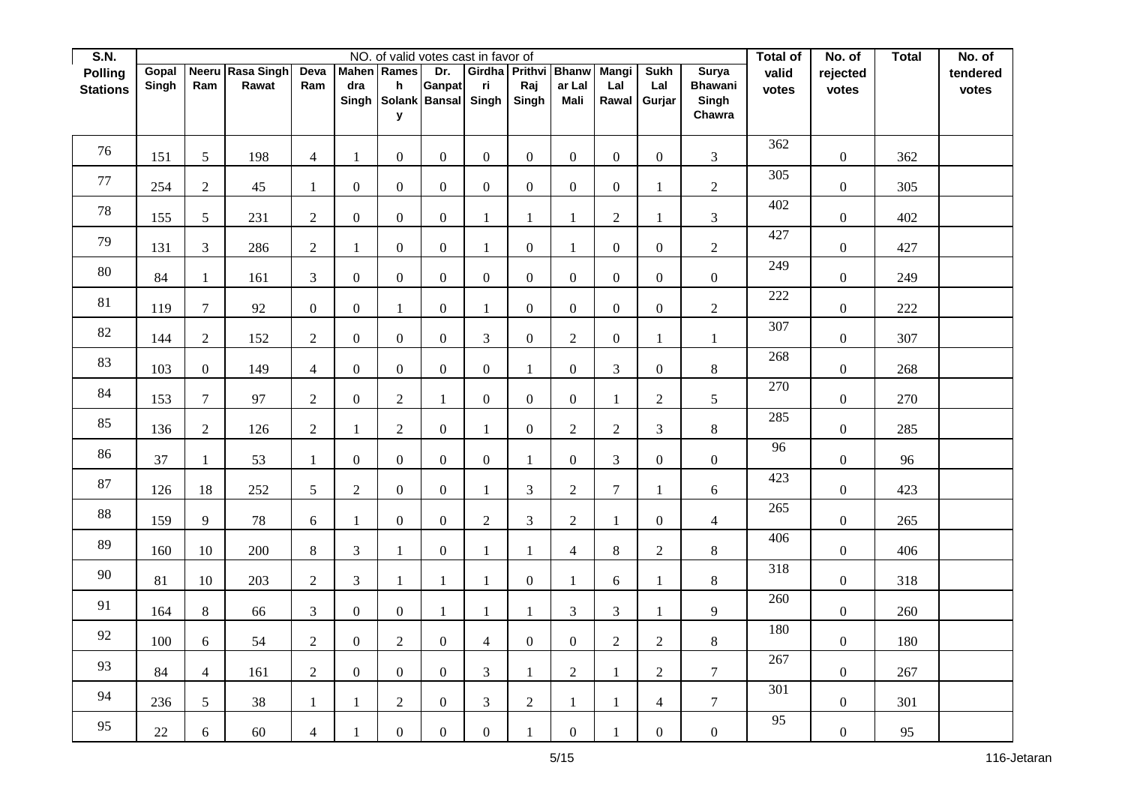| S.N.            |        |                  |                  |                  |                  |                  | NO. of valid votes cast in favor of |                |                      |                  |                  |                  |                         | Total of | No. of           | <b>Total</b> | No. of   |
|-----------------|--------|------------------|------------------|------------------|------------------|------------------|-------------------------------------|----------------|----------------------|------------------|------------------|------------------|-------------------------|----------|------------------|--------------|----------|
| <b>Polling</b>  | Gopal  |                  | Neeru Rasa Singh | Deva             | <b>Mahen</b>     | Rames            | Dr.                                 |                | Girdha Prithvi Bhanw |                  | <b>Mangi</b>     | <b>Sukh</b>      | <b>Surya</b>            | valid    | rejected         |              | tendered |
| <b>Stations</b> | Singh  | Ram              | Rawat            | Ram              | dra<br>Singh     | h                | Ganpat<br>Solank Bansal             | ri<br>Singh    | Raj<br>Singh         | ar Lal<br>Mali   | Lal<br>Rawal     | Lal<br>Gurjar    | <b>Bhawani</b><br>Singh | votes    | votes            |              | votes    |
|                 |        |                  |                  |                  |                  | У                |                                     |                |                      |                  |                  |                  | Chawra                  |          |                  |              |          |
|                 |        |                  |                  |                  |                  |                  |                                     |                |                      |                  |                  |                  |                         |          |                  |              |          |
| 76              | 151    | $5\overline{)}$  | 198              | $\overline{4}$   | $\mathbf{1}$     | $\overline{0}$   | $\boldsymbol{0}$                    | $\overline{0}$ | $\overline{0}$       | $\mathbf{0}$     | $\overline{0}$   | $\mathbf{0}$     | $\overline{3}$          | 362      | $\boldsymbol{0}$ | 362          |          |
| 77              | 254    | $\overline{2}$   | $45\,$           | 1                | $\boldsymbol{0}$ | $\mathbf{0}$     | $\boldsymbol{0}$                    | $\mathbf{0}$   | $\mathbf{0}$         | $\boldsymbol{0}$ | $\boldsymbol{0}$ | $\mathbf{1}$     | $\overline{2}$          | 305      | $\boldsymbol{0}$ | 305          |          |
| $78\,$          | 155    | $5\overline{)}$  | 231              | $\sqrt{2}$       | $\boldsymbol{0}$ | $\mathbf{0}$     | $\boldsymbol{0}$                    | $\mathbf{1}$   | $\mathbf{1}$         | $\mathbf{1}$     | $\overline{c}$   | $\mathbf{1}$     | $\overline{3}$          | 402      | $\boldsymbol{0}$ | 402          |          |
| 79              | 131    | $\mathfrak{Z}$   | 286              | $\overline{2}$   | 1                | $\mathbf{0}$     | $\boldsymbol{0}$                    | $\mathbf{1}$   | $\mathbf{0}$         | $\mathbf{1}$     | $\overline{0}$   | $\mathbf{0}$     | $\overline{2}$          | 427      | $\overline{0}$   | 427          |          |
| $80\,$          | 84     | $\mathbf{1}$     | 161              | $\mathfrak{Z}$   | $\boldsymbol{0}$ | $\mathbf{0}$     | $\overline{0}$                      | $\mathbf{0}$   | $\mathbf{0}$         | $\boldsymbol{0}$ | $\boldsymbol{0}$ | $\boldsymbol{0}$ | $\boldsymbol{0}$        | 249      | $\boldsymbol{0}$ | 249          |          |
| $81\,$          | 119    | $\overline{7}$   | 92               | $\boldsymbol{0}$ | $\boldsymbol{0}$ | $\mathbf{1}$     | $\overline{0}$                      | 1              | $\mathbf{0}$         | $\mathbf{0}$     | $\overline{0}$   | $\mathbf{0}$     | $\overline{2}$          | 222      | $\boldsymbol{0}$ | 222          |          |
| $82\,$          | 144    | $\overline{2}$   | 152              | $\overline{2}$   | $\boldsymbol{0}$ | $\mathbf{0}$     | $\boldsymbol{0}$                    | $\overline{3}$ | $\overline{0}$       | $\overline{2}$   | $\boldsymbol{0}$ | $\mathbf{1}$     | $\mathbf{1}$            | 307      | $\boldsymbol{0}$ | 307          |          |
| 83              | 103    | $\boldsymbol{0}$ | 149              | $\overline{4}$   | $\boldsymbol{0}$ | $\mathbf{0}$     | $\boldsymbol{0}$                    | $\overline{0}$ | $\mathbf{1}$         | $\boldsymbol{0}$ | 3                | $\boldsymbol{0}$ | $8\,$                   | 268      | $\boldsymbol{0}$ | 268          |          |
| 84              | 153    | $\overline{7}$   | 97               | $\overline{2}$   | $\boldsymbol{0}$ | $\overline{2}$   | 1                                   | $\overline{0}$ | $\mathbf{0}$         | $\mathbf{0}$     | $\mathbf{1}$     | $\overline{2}$   | 5                       | 270      | $\boldsymbol{0}$ | 270          |          |
| 85              | 136    | $\overline{2}$   | 126              | $\sqrt{2}$       | $\mathbf{1}$     | $\sqrt{2}$       | $\mathbf{0}$                        | $\mathbf{1}$   | $\boldsymbol{0}$     | $\sqrt{2}$       | $\sqrt{2}$       | $\mathfrak{Z}$   | $8\,$                   | 285      | $\boldsymbol{0}$ | 285          |          |
| 86              | 37     | $\mathbf{1}$     | 53               | $\mathbf{1}$     | $\boldsymbol{0}$ | $\mathbf{0}$     | $\boldsymbol{0}$                    | $\overline{0}$ | $\mathbf{1}$         | $\boldsymbol{0}$ | 3                | $\boldsymbol{0}$ | $\overline{0}$          | 96       | $\boldsymbol{0}$ | 96           |          |
| 87              | 126    | 18               | 252              | $5\overline{)}$  | $\sqrt{2}$       | $\overline{0}$   | $\boldsymbol{0}$                    | $\mathbf{1}$   | $\mathfrak{Z}$       | $\overline{2}$   | $\overline{7}$   | $\mathbf{1}$     | 6                       | 423      | $\overline{0}$   | 423          |          |
| 88              | 159    | 9                | 78               | 6                | $\mathbf{1}$     | $\mathbf{0}$     | $\boldsymbol{0}$                    | $\overline{2}$ | 3                    | $\overline{2}$   | $\mathbf{1}$     | $\mathbf{0}$     | $\overline{4}$          | 265      | $\boldsymbol{0}$ | 265          |          |
| 89              | 160    | 10               | 200              | $8\,$            | $\mathfrak{Z}$   | $\mathbf{1}$     | $\boldsymbol{0}$                    | $\mathbf{1}$   | $\mathbf{1}$         | $\overline{4}$   | 8                | $\sqrt{2}$       | $8\,$                   | 406      | $\boldsymbol{0}$ | 406          |          |
| $90\,$          | 81     | 10               | 203              | $\sqrt{2}$       | $\mathfrak{Z}$   | $\mathbf{1}$     | $\mathbf{1}$                        | $\mathbf{1}$   | $\mathbf{0}$         | $\mathbf{1}$     | 6                | $\mathbf{1}$     | $8\,$                   | 318      | $\boldsymbol{0}$ | 318          |          |
| 91              | 164    | $8\,$            | 66               | $\mathfrak{Z}$   | $\boldsymbol{0}$ | $\overline{0}$   | 1                                   | 1              | $\mathbf{1}$         | $\overline{3}$   | 3                | $\mathbf{1}$     | 9                       | 260      | $\boldsymbol{0}$ | 260          |          |
| 92              | 100    | 6                | 54               | $\sqrt{2}$       | $\boldsymbol{0}$ | $\overline{2}$   | $\boldsymbol{0}$                    | $\overline{4}$ | $\mathbf{0}$         | $\boldsymbol{0}$ | $\overline{2}$   | $\sqrt{2}$       | $8\,$                   | 180      | $\boldsymbol{0}$ | 180          |          |
| 93              | 84     | $\overline{4}$   | 161              | $\overline{2}$   | $\boldsymbol{0}$ | $\mathbf{0}$     | $\boldsymbol{0}$                    | $\overline{3}$ | $\mathbf{1}$         | $\overline{2}$   | $\mathbf{1}$     | $\overline{2}$   | $7\overline{ }$         | 267      | $\boldsymbol{0}$ | 267          |          |
| 94              | 236    | $5\overline{)}$  | 38               | $\mathbf{1}$     | $\mathbf{1}$     | $\overline{2}$   | $\boldsymbol{0}$                    | 3              | $\sqrt{2}$           | $\mathbf{1}$     | 1                | $\overline{4}$   | $\tau$                  | 301      | $\boldsymbol{0}$ | 301          |          |
| 95              | $22\,$ | $\boldsymbol{6}$ | 60               | $\overline{4}$   | $\mathbf{1}$     | $\boldsymbol{0}$ | $\boldsymbol{0}$                    | $\overline{0}$ | $\mathbf{1}$         | $\boldsymbol{0}$ |                  | $\boldsymbol{0}$ | $\boldsymbol{0}$        | 95       | $\boldsymbol{0}$ | 95           |          |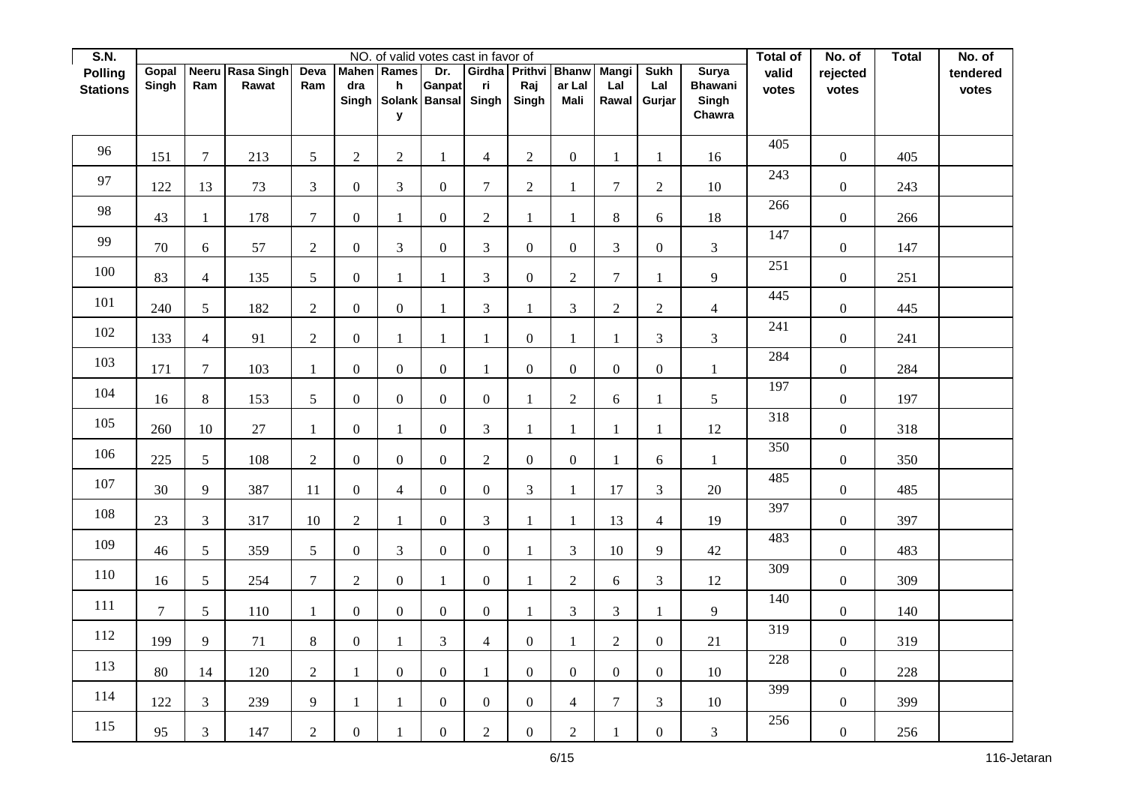| S.N.            |                 |                  |                  |                  |                  |                    | NO. of valid votes cast in favor of |                  |                      |                  |                  |                     |                         | Total of | No. of           | <b>Total</b> | No. of   |
|-----------------|-----------------|------------------|------------------|------------------|------------------|--------------------|-------------------------------------|------------------|----------------------|------------------|------------------|---------------------|-------------------------|----------|------------------|--------------|----------|
| <b>Polling</b>  | Gopal           |                  | Neeru Rasa Singh | Deva             |                  | <b>Mahen</b> Rames | Dr.                                 |                  | Girdha Prithvi Bhanw |                  | <b>Mangi</b>     | <b>Sukh</b>         | <b>Surya</b>            | valid    | rejected         |              | tendered |
| <b>Stations</b> | Singh           | Ram              | Rawat            | Ram              | dra<br>Singh     | h                  | Ganpat<br>Solank Bansal             | ri<br>Singh      | Raj<br>Singh         | ar Lal<br>Mali   | Lal              | Lal<br>Rawal Gurjar | <b>Bhawani</b><br>Singh | votes    | votes            |              | votes    |
|                 |                 |                  |                  |                  |                  | У                  |                                     |                  |                      |                  |                  |                     | Chawra                  |          |                  |              |          |
|                 |                 |                  |                  |                  |                  |                    |                                     |                  |                      |                  |                  |                     |                         |          |                  |              |          |
| 96              | 151             | $\overline{7}$   | 213              | $5\overline{)}$  | $\sqrt{2}$       | $\overline{2}$     | $\mathbf{1}$                        | $\overline{4}$   | $\overline{2}$       | $\mathbf{0}$     | $\mathbf{1}$     | 1                   | 16                      | 405      | $\overline{0}$   | 405          |          |
| 97              | 122             | 13               | 73               | $\mathfrak{Z}$   | $\boldsymbol{0}$ | $\mathfrak{Z}$     | $\mathbf{0}$                        | 7                | $\sqrt{2}$           | $\mathbf{1}$     | $\overline{7}$   | $\sqrt{2}$          | $10\,$                  | 243      | $\boldsymbol{0}$ | 243          |          |
| 98              | 43              | 1                | 178              | $\boldsymbol{7}$ | $\boldsymbol{0}$ | $\mathbf{1}$       | $\boldsymbol{0}$                    | $\overline{2}$   | $\mathbf{1}$         | $\mathbf{1}$     | 8                | 6                   | 18                      | 266      | $\boldsymbol{0}$ | 266          |          |
| 99              | 70              | $\boldsymbol{6}$ | 57               | $\overline{2}$   | $\boldsymbol{0}$ | 3                  | $\mathbf{0}$                        | 3                | $\overline{0}$       | $\mathbf{0}$     | 3                | $\boldsymbol{0}$    | $\overline{3}$          | 147      | $\overline{0}$   | 147          |          |
| 100             | 83              | $\overline{4}$   | 135              | 5                | $\boldsymbol{0}$ | $\mathbf{1}$       | 1                                   | 3                | $\overline{0}$       | $\sqrt{2}$       | $\overline{7}$   | $\mathbf{1}$        | 9                       | 251      | $\boldsymbol{0}$ | 251          |          |
| $101\,$         | 240             | $5\overline{)}$  | 182              | $\overline{2}$   | $\boldsymbol{0}$ | $\mathbf{0}$       | $\mathbf{1}$                        | 3                | $\mathbf{1}$         | 3                | $\overline{2}$   | $\sqrt{2}$          | $\overline{4}$          | 445      | $\boldsymbol{0}$ | 445          |          |
| 102             | 133             | $\overline{4}$   | 91               | $\sqrt{2}$       | $\boldsymbol{0}$ | $\mathbf{1}$       | $\mathbf{1}$                        | 1                | $\overline{0}$       | $\mathbf{1}$     | $\mathbf{1}$     | 3                   | 3                       | 241      | $\overline{0}$   | 241          |          |
| 103             | 171             | $\tau$           | 103              | $\mathbf{1}$     | $\boldsymbol{0}$ | $\overline{0}$     | $\mathbf{0}$                        |                  | $\overline{0}$       | $\boldsymbol{0}$ | $\boldsymbol{0}$ | $\boldsymbol{0}$    | $\mathbf{1}$            | 284      | $\overline{0}$   | 284          |          |
| 104             | 16              | 8                | 153              | $5\overline{)}$  | $\boldsymbol{0}$ | $\overline{0}$     | $\mathbf{0}$                        | $\overline{0}$   | $\mathbf{1}$         | $\overline{2}$   | 6                | $\mathbf{1}$        | 5                       | 197      | $\overline{0}$   | 197          |          |
| 105             | 260             | $10\,$           | 27               | $\mathbf{1}$     | $\boldsymbol{0}$ | 1                  | $\overline{0}$                      | 3                | $\mathbf{1}$         | $\mathbf{1}$     | 1                | $\mathbf{1}$        | 12                      | 318      | $\boldsymbol{0}$ | 318          |          |
| 106             | 225             | $\mathfrak{S}$   | 108              | $\sqrt{2}$       | $\boldsymbol{0}$ | $\overline{0}$     | $\boldsymbol{0}$                    | $\overline{2}$   | $\overline{0}$       | $\boldsymbol{0}$ | $\mathbf{1}$     | 6                   | $\mathbf{1}$            | 350      | $\boldsymbol{0}$ | 350          |          |
| 107             | 30              | 9                | 387              | 11               | $\boldsymbol{0}$ | $\overline{4}$     | $\mathbf{0}$                        | $\overline{0}$   | $\mathfrak{Z}$       | $\mathbf{1}$     | 17               | 3                   | $20\,$                  | 485      | $\overline{0}$   | 485          |          |
| 108             | 23              | $\overline{3}$   | 317              | 10               | $\sqrt{2}$       | $\mathbf{1}$       | $\mathbf{0}$                        | $\overline{3}$   | $\mathbf{1}$         | $\mathbf{1}$     | 13               | $\overline{4}$      | 19                      | 397      | $\overline{0}$   | 397          |          |
| 109             | 46              | $\sqrt{5}$       | 359              | 5                | $\boldsymbol{0}$ | 3                  | $\boldsymbol{0}$                    | $\boldsymbol{0}$ | $\mathbf{1}$         | $\mathfrak{Z}$   | 10               | $\overline{9}$      | $42\,$                  | 483      | $\boldsymbol{0}$ | 483          |          |
| 110             | 16              | $\mathfrak{S}$   | 254              | $\tau$           | $\mathbf{2}$     | $\overline{0}$     | $\mathbf{1}$                        | $\overline{0}$   | $\mathbf{1}$         | $\sqrt{2}$       | 6                | $\mathfrak{Z}$      | 12                      | 309      | $\overline{0}$   | 309          |          |
| 111             | $7\overline{ }$ | 5                | 110              | $\mathbf{1}$     | $\boldsymbol{0}$ | $\overline{0}$     | $\overline{0}$                      | $\Omega$         | $\mathbf{1}$         | $\overline{3}$   | $\mathfrak{Z}$   | 1                   | 9                       | 140      | $\overline{0}$   | 140          |          |
| 112             | 199             | 9                | 71               | $8\,$            | $\boldsymbol{0}$ | $\mathbf{1}$       | 3                                   | $\overline{4}$   | $\overline{0}$       | $\mathbf{1}$     | $\overline{2}$   | $\boldsymbol{0}$    | $21\,$                  | 319      | $\overline{0}$   | 319          |          |
| 113             | 80              | 14               | 120              | $\overline{2}$   | $\mathbf{1}$     | $\overline{0}$     | $\boldsymbol{0}$                    | 1                | $\overline{0}$       | $\mathbf{0}$     | $\overline{0}$   | $\boldsymbol{0}$    | $10\,$                  | 228      | $\overline{0}$   | 228          |          |
| 114             | 122             | $\mathfrak{Z}$   | 239              | 9                | $\mathbf{1}$     | $\mathbf{1}$       | $\mathbf{0}$                        | $\overline{0}$   | $\boldsymbol{0}$     | $\overline{4}$   | $\tau$           | 3                   | $10\,$                  | 399      | $\boldsymbol{0}$ | 399          |          |
| 115             | 95              | $\mathfrak{Z}$   | 147              | $\overline{2}$   | $\boldsymbol{0}$ | $\mathbf{1}$       | $\boldsymbol{0}$                    | $\overline{2}$   | $\overline{0}$       | $\sqrt{2}$       | $\mathbf{1}$     | $\boldsymbol{0}$    | 3                       | 256      | $\boldsymbol{0}$ | 256          |          |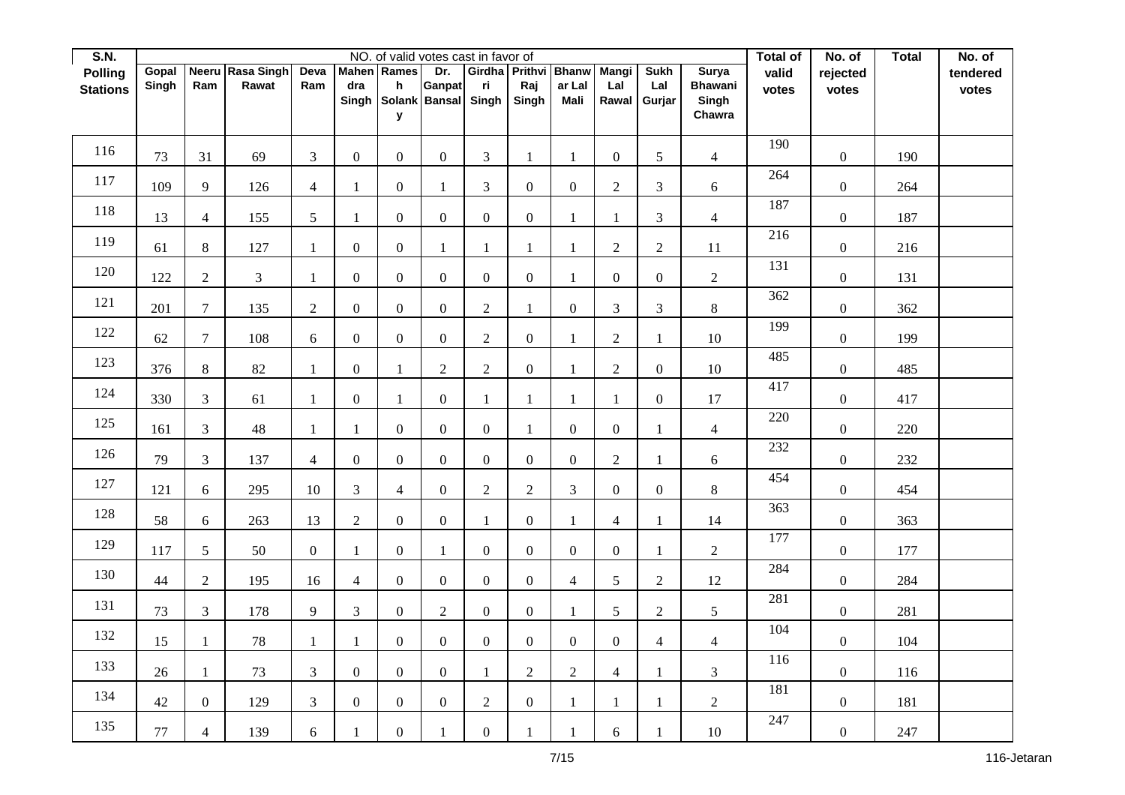| S.N.            |        |                  |                   |                  |                  |                  | NO. of valid votes cast in favor of |                  |                      |                       |                     |                  |                         | Total of | No. of           | <b>Total</b> | No. of   |
|-----------------|--------|------------------|-------------------|------------------|------------------|------------------|-------------------------------------|------------------|----------------------|-----------------------|---------------------|------------------|-------------------------|----------|------------------|--------------|----------|
| <b>Polling</b>  | Gopal  | <b>Neeru</b>     | <b>Rasa Singh</b> | Deva             | <b>Mahen</b>     | Rames            | Dr.                                 |                  | Girdha Prithvi Bhanw |                       | <b>Mangi</b>        | <b>Sukh</b>      | <b>Surya</b>            | valid    | rejected         |              | tendered |
| <b>Stations</b> | Singh  | Ram              | Rawat             | Ram              | dra<br>Singh     | h                | Ganpat<br>Solank Bansal             | ri<br>Singh      | Raj<br>Singh         | ar Lal<br><b>Mali</b> | Lal<br>Rawal Gurjar | Lal              | <b>Bhawani</b><br>Singh | votes    | votes            |              | votes    |
|                 |        |                  |                   |                  |                  | У                |                                     |                  |                      |                       |                     |                  | Chawra                  |          |                  |              |          |
|                 |        |                  |                   |                  |                  |                  |                                     |                  |                      |                       |                     |                  |                         |          |                  |              |          |
| 116             | 73     | 31               | 69                | $\mathfrak{Z}$   | $\boldsymbol{0}$ | $\overline{0}$   | $\mathbf{0}$                        | $\mathfrak{Z}$   | $\mathbf{1}$         | $\mathbf{1}$          | $\overline{0}$      | 5                | $\overline{4}$          | 190      | $\boldsymbol{0}$ | 190          |          |
| 117             | 109    | 9                | 126               | $\overline{4}$   | 1                | $\boldsymbol{0}$ | $\mathbf{1}$                        | 3                | $\overline{0}$       | $\boldsymbol{0}$      | $\overline{2}$      | $\mathfrak{Z}$   | $\boldsymbol{6}$        | 264      | $\boldsymbol{0}$ | 264          |          |
| 118             | 13     | $\overline{4}$   | 155               | 5                | 1                | $\boldsymbol{0}$ | $\boldsymbol{0}$                    | $\boldsymbol{0}$ | $\boldsymbol{0}$     | $\mathbf{1}$          | $\mathbf{1}$        | 3                | $\overline{4}$          | 187      | $\boldsymbol{0}$ | 187          |          |
| 119             | 61     | $8\,$            | 127               | 1                | $\overline{0}$   | $\overline{0}$   | 1                                   | 1                | $\mathbf{1}$         | $\mathbf{1}$          | $\overline{2}$      | $\sqrt{2}$       | 11                      | 216      | $\boldsymbol{0}$ | 216          |          |
| 120             | 122    | $\mathbf{2}$     | $\overline{3}$    | $\mathbf{1}$     | $\boldsymbol{0}$ | $\overline{0}$   | $\overline{0}$                      | $\overline{0}$   | $\overline{0}$       | $\mathbf{1}$          | $\boldsymbol{0}$    | $\boldsymbol{0}$ | $\overline{c}$          | 131      | $\boldsymbol{0}$ | 131          |          |
| 121             | 201    | $\tau$           | 135               | $\overline{2}$   | $\mathbf{0}$     | $\overline{0}$   | $\overline{0}$                      | $\overline{2}$   | $\mathbf{1}$         | $\boldsymbol{0}$      | 3                   | 3                | 8                       | 362      | $\boldsymbol{0}$ | 362          |          |
| 122             | 62     | $\boldsymbol{7}$ | 108               | 6                | $\boldsymbol{0}$ | $\overline{0}$   | $\boldsymbol{0}$                    | $\overline{2}$   | $\overline{0}$       | $\mathbf{1}$          | $\overline{2}$      | $\mathbf{1}$     | 10                      | 199      | $\boldsymbol{0}$ | 199          |          |
| 123             | 376    | $8\,$            | 82                | $\mathbf{1}$     | $\boldsymbol{0}$ | $\mathbf{1}$     | $\overline{2}$                      | $\overline{2}$   | $\overline{0}$       | $\mathbf{1}$          | $\overline{2}$      | $\boldsymbol{0}$ | $10\,$                  | 485      | $\boldsymbol{0}$ | 485          |          |
| 124             | 330    | 3                | 61                | $\mathbf{1}$     | $\overline{0}$   | $\mathbf{1}$     | $\mathbf{0}$                        | $\mathbf{1}$     | $\mathbf{1}$         | $\mathbf{1}$          | $\mathbf{1}$        | $\mathbf{0}$     | 17                      | 417      | $\boldsymbol{0}$ | 417          |          |
| 125             | 161    | $\mathfrak{Z}$   | 48                | $\mathbf{1}$     | 1                | $\mathbf{0}$     | $\overline{0}$                      | $\mathbf{0}$     | $\mathbf{1}$         | $\mathbf{0}$          | $\overline{0}$      | $\mathbf{1}$     | $\overline{4}$          | 220      | $\boldsymbol{0}$ | 220          |          |
| 126             | 79     | $\mathfrak{Z}$   | 137               | $\overline{4}$   | $\boldsymbol{0}$ | $\overline{0}$   | $\boldsymbol{0}$                    | $\overline{0}$   | $\boldsymbol{0}$     | $\boldsymbol{0}$      | $\overline{2}$      | $\mathbf{1}$     | 6                       | 232      | $\boldsymbol{0}$ | 232          |          |
| 127             | 121    | $\boldsymbol{6}$ | 295               | 10               | 3                | $\overline{4}$   | $\mathbf{0}$                        | $\overline{2}$   | $\sqrt{2}$           | $\mathfrak{Z}$        | $\overline{0}$      | $\boldsymbol{0}$ | $8\,$                   | 454      | $\boldsymbol{0}$ | 454          |          |
| 128             | 58     | 6                | 263               | 13               | $\overline{2}$   | $\overline{0}$   | $\mathbf{0}$                        | 1                | $\overline{0}$       | $\mathbf{1}$          | $\overline{4}$      | $\mathbf{1}$     | 14                      | 363      | $\boldsymbol{0}$ | 363          |          |
| 129             | 117    | 5                | 50                | $\boldsymbol{0}$ | $\mathbf{1}$     | $\boldsymbol{0}$ | $\mathbf{1}$                        | $\overline{0}$   | $\boldsymbol{0}$     | $\boldsymbol{0}$      | $\overline{0}$      | $\mathbf{1}$     | $\overline{c}$          | 177      | $\boldsymbol{0}$ | 177          |          |
| 130             | 44     | $\mathbf{2}$     | 195               | 16               | $\overline{4}$   | $\overline{0}$   | $\boldsymbol{0}$                    | $\overline{0}$   | $\overline{0}$       | $\overline{4}$        | 5                   | $\sqrt{2}$       | 12                      | 284      | $\boldsymbol{0}$ | 284          |          |
| 131             | 73     | $\mathfrak{Z}$   | 178               | 9                | 3                | $\overline{0}$   | 2                                   | $\overline{0}$   | $\boldsymbol{0}$     | $\mathbf{1}$          | 5                   | $\sqrt{2}$       | 5                       | 281      | $\boldsymbol{0}$ | 281          |          |
| 132             | 15     | $\mathbf{1}$     | 78                | $\mathbf{1}$     | $\mathbf{1}$     | $\overline{0}$   | $\boldsymbol{0}$                    | $\overline{0}$   | $\overline{0}$       | $\boldsymbol{0}$      | $\overline{0}$      | $\overline{4}$   | $\overline{4}$          | 104      | $\boldsymbol{0}$ | 104          |          |
| 133             | 26     | $\mathbf{1}$     | 73                | $\mathfrak{Z}$   | $\mathbf{0}$     | $\overline{0}$   | $\boldsymbol{0}$                    | 1                | $\sqrt{2}$           | $\overline{2}$        | $\overline{4}$      | $\mathbf{1}$     | $\overline{3}$          | 116      | $\boldsymbol{0}$ | 116          |          |
| 134             | $42\,$ | $\boldsymbol{0}$ | 129               | 3                | $\boldsymbol{0}$ | $\boldsymbol{0}$ | $\mathbf{0}$                        | $\overline{2}$   | $\boldsymbol{0}$     | $\mathbf{1}$          | $\mathbf{1}$        | $\mathbf{1}$     | $\overline{2}$          | 181      | $\boldsymbol{0}$ | 181          |          |
| 135             | $77\,$ | $\overline{4}$   | 139               | 6                | 1                | $\boldsymbol{0}$ | $\mathbf{1}$                        | $\boldsymbol{0}$ | $\mathbf{1}$         | $\mathbf{1}$          | 6                   | 1                | $10\,$                  | 247      | $\boldsymbol{0}$ | 247          |          |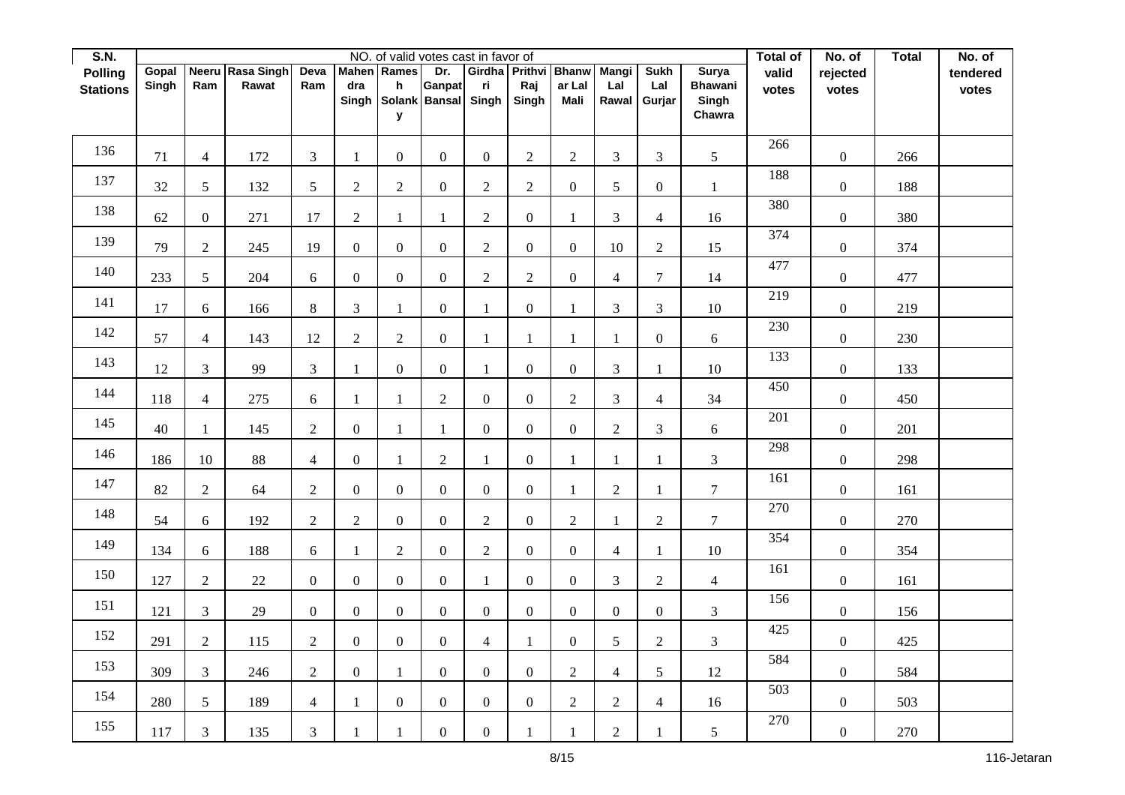| S.N.            |       |                  |                  |                |                  |                  | NO. of valid votes cast in favor of |                  |                      |                  |                |                  |                         | Total of | No. of           | <b>Total</b> | No. of   |
|-----------------|-------|------------------|------------------|----------------|------------------|------------------|-------------------------------------|------------------|----------------------|------------------|----------------|------------------|-------------------------|----------|------------------|--------------|----------|
| <b>Polling</b>  | Gopal |                  | Neeru Rasa Singh | Deva           | <b>Mahen</b>     | Rames            | Dr.                                 |                  | Girdha Prithvi Bhanw |                  | <b>Mangi</b>   | <b>Sukh</b>      | Surya                   | valid    | rejected         |              | tendered |
| <b>Stations</b> | Singh | Ram              | Rawat            | Ram            | dra<br>Singh     | h                | Ganpat<br>Solank Bansal             | ri<br>Singh      | Raj<br>Singh         | ar Lal<br>Mali   | Lal<br>Rawal   | Lal<br>Gurjar    | <b>Bhawani</b><br>Singh | votes    | votes            |              | votes    |
|                 |       |                  |                  |                |                  | У                |                                     |                  |                      |                  |                |                  | Chawra                  |          |                  |              |          |
|                 |       |                  |                  |                |                  |                  |                                     |                  |                      |                  |                |                  |                         |          |                  |              |          |
| 136             | 71    | $\overline{4}$   | 172              | $\overline{3}$ | $\mathbf{1}$     | $\mathbf{0}$     | $\boldsymbol{0}$                    | $\overline{0}$   | $\sqrt{2}$           | $\overline{2}$   | 3              | 3                | 5                       | 266      | $\boldsymbol{0}$ | 266          |          |
| 137             | 32    | $\mathfrak{S}$   | 132              | 5              | $\sqrt{2}$       | $\sqrt{2}$       | $\mathbf{0}$                        | $\overline{c}$   | $\sqrt{2}$           | $\boldsymbol{0}$ | 5              | $\boldsymbol{0}$ | $\mathbf{1}$            | 188      | $\boldsymbol{0}$ | 188          |          |
| 138             | 62    | $\boldsymbol{0}$ | 271              | 17             | $\sqrt{2}$       | $\mathbf{1}$     | $\mathbf{1}$                        | $\overline{c}$   | $\boldsymbol{0}$     | $\mathbf{1}$     | 3              | $\overline{4}$   | 16                      | 380      | $\boldsymbol{0}$ | 380          |          |
| 139             | 79    | $\overline{2}$   | 245              | 19             | $\boldsymbol{0}$ | $\mathbf{0}$     | $\boldsymbol{0}$                    | $\overline{2}$   | $\mathbf{0}$         | $\mathbf{0}$     | 10             | $\mathbf{2}$     | 15                      | 374      | $\boldsymbol{0}$ | 374          |          |
| 140             | 233   | $\mathfrak{S}$   | 204              | 6              | $\boldsymbol{0}$ | $\mathbf{0}$     | $\boldsymbol{0}$                    | $\overline{2}$   | $\sqrt{2}$           | $\boldsymbol{0}$ | $\overline{4}$ | $\overline{7}$   | 14                      | 477      | $\boldsymbol{0}$ | 477          |          |
| 141             | 17    | 6                | 166              | 8              | 3                | 1                | $\boldsymbol{0}$                    | 1                | $\boldsymbol{0}$     | $\mathbf{1}$     | 3              | 3                | 10                      | 219      | $\boldsymbol{0}$ | 219          |          |
| 142             | 57    | 4                | 143              | 12             | $\sqrt{2}$       | $\overline{2}$   | $\boldsymbol{0}$                    | $\mathbf{1}$     | $\mathbf{1}$         | 1                | 1              | $\boldsymbol{0}$ | 6                       | 230      | $\boldsymbol{0}$ | 230          |          |
| 143             | 12    | $\mathfrak{Z}$   | 99               | $\mathfrak{Z}$ | $\mathbf{1}$     | $\mathbf{0}$     | $\boldsymbol{0}$                    | 1                | $\boldsymbol{0}$     | $\boldsymbol{0}$ | 3              | $\mathbf{1}$     | 10                      | 133      | $\boldsymbol{0}$ | 133          |          |
| 144             | 118   | $\overline{4}$   | 275              | 6              | $\mathbf{1}$     | $\mathbf{1}$     | $\overline{2}$                      | $\overline{0}$   | $\mathbf{0}$         | $\overline{2}$   | 3              | $\overline{4}$   | 34                      | 450      | $\boldsymbol{0}$ | 450          |          |
| 145             | 40    | $\mathbf{1}$     | 145              | $\sqrt{2}$     | $\boldsymbol{0}$ | 1                | $\mathbf{1}$                        | $\boldsymbol{0}$ | $\boldsymbol{0}$     | $\boldsymbol{0}$ | $\sqrt{2}$     | $\mathfrak{Z}$   | $\boldsymbol{6}$        | 201      | $\boldsymbol{0}$ | 201          |          |
| 146             | 186   | 10               | 88               | $\overline{4}$ | $\boldsymbol{0}$ | $\mathbf{1}$     | $\overline{c}$                      | $\mathbf{1}$     | $\boldsymbol{0}$     | $\mathbf{1}$     | $\mathbf{1}$   | $\mathbf{1}$     | $\mathfrak{Z}$          | 298      | $\boldsymbol{0}$ | 298          |          |
| 147             | 82    | $\overline{2}$   | 64               | $\overline{2}$ | $\boldsymbol{0}$ | $\mathbf{0}$     | $\boldsymbol{0}$                    | $\mathbf{0}$     | $\mathbf{0}$         | $\mathbf{1}$     | $\overline{2}$ | $\mathbf{1}$     | $\overline{7}$          | 161      | $\boldsymbol{0}$ | 161          |          |
| 148             | 54    | 6                | 192              | $\overline{2}$ | $\overline{2}$   | $\mathbf{0}$     | $\boldsymbol{0}$                    | $\overline{2}$   | $\mathbf{0}$         | $\overline{2}$   | $\mathbf{1}$   | $\overline{2}$   | $\overline{7}$          | 270      | $\boldsymbol{0}$ | 270          |          |
| 149             | 134   | $\boldsymbol{6}$ | 188              | 6              | $\mathbf{1}$     | $\overline{2}$   | $\boldsymbol{0}$                    | $\overline{c}$   | $\boldsymbol{0}$     | $\boldsymbol{0}$ | $\overline{4}$ | $\mathbf{1}$     | $10\,$                  | 354      | $\boldsymbol{0}$ | 354          |          |
| 150             | 127   | $\sqrt{2}$       | $22\,$           | $\overline{0}$ | $\boldsymbol{0}$ | $\mathbf{0}$     | $\boldsymbol{0}$                    | $\mathbf{1}$     | $\mathbf{0}$         | $\mathbf{0}$     | 3              | $\overline{2}$   | $\overline{4}$          | 161      | $\boldsymbol{0}$ | 161          |          |
| 151             | 121   | $\mathfrak{Z}$   | $29\,$           | $\overline{0}$ | $\mathbf{0}$     | $\overline{0}$   | $\mathbf{0}$                        | $\overline{0}$   | $\boldsymbol{0}$     | $\boldsymbol{0}$ | $\overline{0}$ | $\mathbf{0}$     | $\overline{3}$          | 156      | $\boldsymbol{0}$ | 156          |          |
| 152             | 291   | $\overline{2}$   | 115              | $\sqrt{2}$     | $\boldsymbol{0}$ | $\boldsymbol{0}$ | $\boldsymbol{0}$                    | $\overline{4}$   | $\mathbf{1}$         | $\boldsymbol{0}$ | 5              | $\sqrt{2}$       | $\overline{3}$          | 425      | $\boldsymbol{0}$ | 425          |          |
| 153             | 309   | $\mathfrak{Z}$   | 246              | $\overline{2}$ | $\boldsymbol{0}$ | $\mathbf{1}$     | $\boldsymbol{0}$                    | $\overline{0}$   | $\boldsymbol{0}$     | $\overline{2}$   | $\overline{4}$ | 5                | $12\,$                  | 584      | $\boldsymbol{0}$ | 584          |          |
| 154             | 280   | $\mathfrak{S}$   | 189              | $\overline{4}$ | $\mathbf{1}$     | $\boldsymbol{0}$ | $\boldsymbol{0}$                    | $\overline{0}$   | $\boldsymbol{0}$     | $\sqrt{2}$       | $\overline{c}$ | $\overline{4}$   | 16                      | 503      | $\boldsymbol{0}$ | 503          |          |
| 155             | 117   | $\mathfrak{Z}$   | 135              | $\mathfrak{Z}$ | $\mathbf{1}$     | $\mathbf{1}$     | $\boldsymbol{0}$                    | $\overline{0}$   | $\mathbf{1}$         | $\mathbf{1}$     | $\overline{2}$ | $\mathbf{1}$     | 5                       | 270      | $\boldsymbol{0}$ | 270          |          |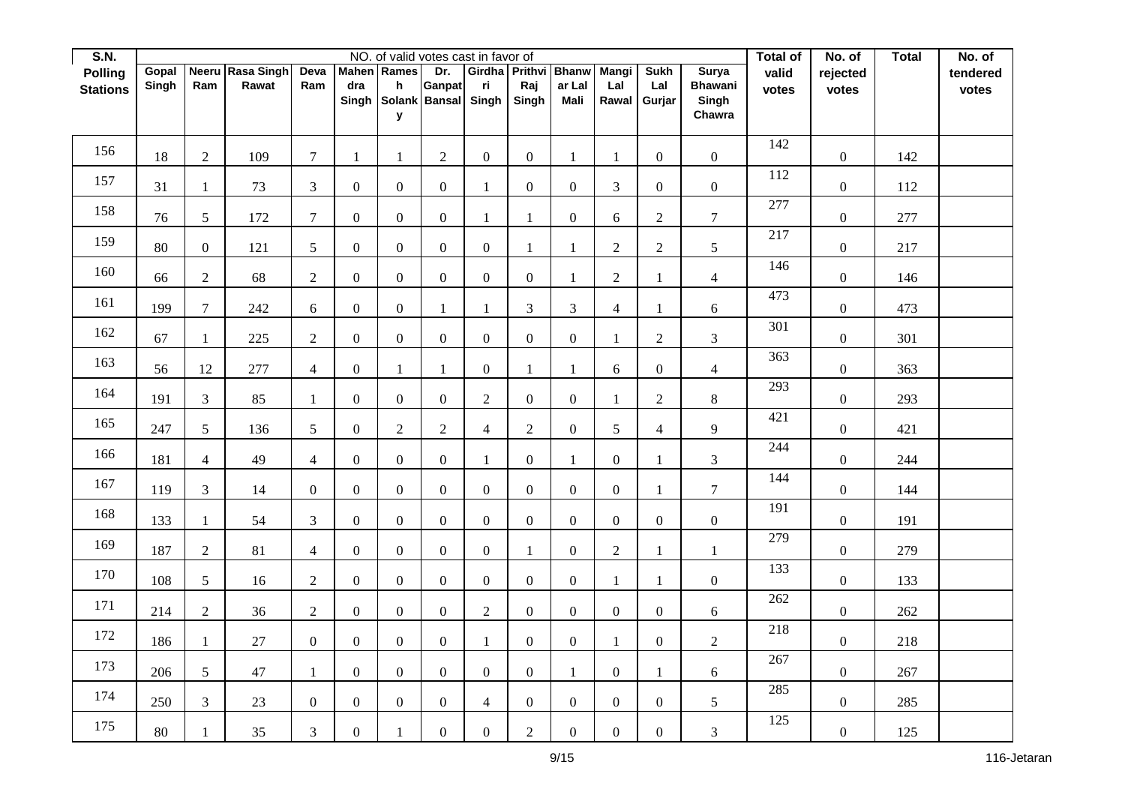| <b>S.N.</b>     |       |                  |                   |                  |                  |                  | NO. of valid votes cast in favor of |                |                      |                  |                  |                  |                         | Total of | No. of           | <b>Total</b> | No. of   |
|-----------------|-------|------------------|-------------------|------------------|------------------|------------------|-------------------------------------|----------------|----------------------|------------------|------------------|------------------|-------------------------|----------|------------------|--------------|----------|
| <b>Polling</b>  | Gopal | <b>Neeru</b>     | <b>Rasa Singh</b> | Deva             | <b>Mahen</b>     | Rames            | Dr.                                 | Girdha         | <b>Prithvi Bhanw</b> | ar Lal           | Mangi            | <b>Sukh</b>      | <b>Surya</b>            | valid    | rejected         |              | tendered |
| <b>Stations</b> | Singh | Ram              | Rawat             | Ram              | dra<br>Singh     | h                | Ganpat<br>Solank Bansal Singh       | ri             | Raj<br>Singh         | Mali             | Lal<br>Rawal     | Lal<br>Gurjar    | <b>Bhawani</b><br>Singh | votes    | votes            |              | votes    |
|                 |       |                  |                   |                  |                  | У                |                                     |                |                      |                  |                  |                  | Chawra                  |          |                  |              |          |
|                 |       |                  |                   |                  |                  |                  |                                     |                |                      |                  |                  |                  |                         |          |                  |              |          |
| 156             | 18    | $\overline{2}$   | 109               | $\tau$           | $\mathbf{1}$     | $\mathbf{1}$     | $\boldsymbol{2}$                    | $\overline{0}$ | $\mathbf{0}$         | $\mathbf{1}$     | 1                | $\boldsymbol{0}$ | $\overline{0}$          | 142      | $\boldsymbol{0}$ | 142          |          |
| 157             | 31    | $\mathbf{1}$     | 73                | $\mathfrak{Z}$   | $\boldsymbol{0}$ | $\mathbf{0}$     | $\boldsymbol{0}$                    | 1              | $\mathbf{0}$         | $\mathbf{0}$     | 3                | $\mathbf{0}$     | $\overline{0}$          | 112      | $\boldsymbol{0}$ | 112          |          |
| 158             | 76    | 5                | 172               | $\overline{7}$   | $\boldsymbol{0}$ | $\overline{0}$   | $\boldsymbol{0}$                    | 1              | $\mathbf{1}$         | $\mathbf{0}$     | 6                | $\overline{2}$   | $\overline{7}$          | 277      | $\boldsymbol{0}$ | 277          |          |
| 159             | 80    | $\boldsymbol{0}$ | 121               | $5\overline{)}$  | $\boldsymbol{0}$ | $\overline{0}$   | $\boldsymbol{0}$                    | $\overline{0}$ | $\mathbf{1}$         | $\mathbf{1}$     | $\overline{2}$   | $\overline{2}$   | 5                       | 217      | $\boldsymbol{0}$ | 217          |          |
| 160             | 66    | $\overline{2}$   | 68                | $\overline{2}$   | $\boldsymbol{0}$ | $\mathbf{0}$     | $\boldsymbol{0}$                    | $\overline{0}$ | $\mathbf{0}$         | $\mathbf{1}$     | $\overline{2}$   | $\mathbf{1}$     | $\overline{4}$          | 146      | $\boldsymbol{0}$ | 146          |          |
| 161             | 199   | $\overline{7}$   | 242               | 6                | $\mathbf{0}$     | $\mathbf{0}$     | $\mathbf{1}$                        | 1              | $\mathfrak{Z}$       | 3                | $\overline{4}$   | $\mathbf{1}$     | $\boldsymbol{6}$        | 473      | $\boldsymbol{0}$ | 473          |          |
| 162             | 67    | $\mathbf{1}$     | 225               | $\sqrt{2}$       | $\boldsymbol{0}$ | $\mathbf{0}$     | $\boldsymbol{0}$                    | $\overline{0}$ | $\mathbf{0}$         | $\boldsymbol{0}$ | $\mathbf{1}$     | $\overline{2}$   | 3                       | 301      | $\boldsymbol{0}$ | 301          |          |
| 163             | 56    | $12\,$           | 277               | $\overline{4}$   | $\boldsymbol{0}$ | 1                | $\mathbf{1}$                        | $\overline{0}$ | $\mathbf{1}$         | 1                | 6                | $\boldsymbol{0}$ | $\overline{4}$          | 363      | $\boldsymbol{0}$ | 363          |          |
| 164             | 191   | $\mathfrak{Z}$   | 85                | $\mathbf{1}$     | $\boldsymbol{0}$ | $\mathbf{0}$     | $\boldsymbol{0}$                    | $\overline{c}$ | $\overline{0}$       | $\boldsymbol{0}$ | $\mathbf{1}$     | $\overline{2}$   | $8\,$                   | 293      | $\boldsymbol{0}$ | 293          |          |
| 165             | 247   | $\mathfrak{S}$   | 136               | 5                | $\boldsymbol{0}$ | $\overline{2}$   | $\overline{2}$                      | $\overline{4}$ | $\sqrt{2}$           | $\boldsymbol{0}$ | 5                | $\overline{4}$   | 9                       | 421      | $\boldsymbol{0}$ | 421          |          |
| 166             | 181   | $\overline{4}$   | 49                | $\overline{4}$   | $\boldsymbol{0}$ | $\mathbf{0}$     | $\boldsymbol{0}$                    | $\mathbf{1}$   | $\boldsymbol{0}$     | $\mathbf{1}$     | $\overline{0}$   | $\mathbf{1}$     | $\mathfrak{Z}$          | 244      | $\boldsymbol{0}$ | 244          |          |
| 167             | 119   | $\mathfrak{Z}$   | 14                | $\overline{0}$   | $\boldsymbol{0}$ | $\boldsymbol{0}$ | $\boldsymbol{0}$                    | $\overline{0}$ | $\boldsymbol{0}$     | $\boldsymbol{0}$ | $\overline{0}$   | $\mathbf{1}$     | $\overline{7}$          | 144      | $\boldsymbol{0}$ | 144          |          |
| 168             | 133   | $\mathbf{1}$     | 54                | 3                | $\boldsymbol{0}$ | $\mathbf{0}$     | $\boldsymbol{0}$                    | $\overline{0}$ | $\mathbf{0}$         | $\mathbf{0}$     | $\overline{0}$   | $\boldsymbol{0}$ | $\boldsymbol{0}$        | 191      | $\boldsymbol{0}$ | 191          |          |
| 169             | 187   | $\overline{2}$   | 81                | $\overline{4}$   | $\boldsymbol{0}$ | $\mathbf{0}$     | $\boldsymbol{0}$                    | $\overline{0}$ | $\mathbf{1}$         | $\boldsymbol{0}$ | $\sqrt{2}$       | $\mathbf{1}$     | 1                       | 279      | $\boldsymbol{0}$ | 279          |          |
| 170             | 108   | $5\phantom{.0}$  | 16                | $\sqrt{2}$       | $\boldsymbol{0}$ | $\overline{0}$   | $\boldsymbol{0}$                    | $\overline{0}$ | $\mathbf{0}$         | $\boldsymbol{0}$ | $\mathbf{1}$     | $\mathbf{1}$     | $\overline{0}$          | 133      | $\boldsymbol{0}$ | 133          |          |
| 171             | 214   | $\overline{2}$   | 36                | $\overline{2}$   | $\boldsymbol{0}$ | $\mathbf{0}$     | $\boldsymbol{0}$                    | $\overline{2}$ | $\boldsymbol{0}$     | $\mathbf{0}$     | $\overline{0}$   | $\mathbf{0}$     | 6                       | 262      | $\boldsymbol{0}$ | 262          |          |
| 172             | 186   | $\mathbf{1}$     | $27\,$            | $\overline{0}$   | $\boldsymbol{0}$ | $\mathbf{0}$     | $\boldsymbol{0}$                    | $\mathbf{1}$   | $\mathbf{0}$         | $\boldsymbol{0}$ | $\mathbf{1}$     | $\boldsymbol{0}$ | $\overline{c}$          | 218      | $\boldsymbol{0}$ | 218          |          |
| 173             | 206   | $5\overline{)}$  | $47\,$            | $\mathbf{1}$     | $\boldsymbol{0}$ | $\boldsymbol{0}$ | $\boldsymbol{0}$                    | $\overline{0}$ | $\boldsymbol{0}$     | $\mathbf{1}$     | $\overline{0}$   | $\mathbf{1}$     | $\boldsymbol{6}$        | 267      | $\boldsymbol{0}$ | 267          |          |
| 174             | 250   | $\mathfrak{Z}$   | $23\,$            | $\boldsymbol{0}$ | $\boldsymbol{0}$ | $\boldsymbol{0}$ | $\boldsymbol{0}$                    | $\overline{4}$ | $\boldsymbol{0}$     | $\mathbf{0}$     | $\boldsymbol{0}$ | $\boldsymbol{0}$ | $\mathfrak{S}$          | 285      | $\boldsymbol{0}$ | 285          |          |
| 175             | 80    | $\mathbf{1}$     | 35                | $\mathfrak{Z}$   | $\boldsymbol{0}$ | $\mathbf{1}$     | $\boldsymbol{0}$                    | $\overline{0}$ | $\sqrt{2}$           | $\boldsymbol{0}$ | $\boldsymbol{0}$ | $\boldsymbol{0}$ | $\mathfrak{Z}$          | 125      | $\boldsymbol{0}$ | 125          |          |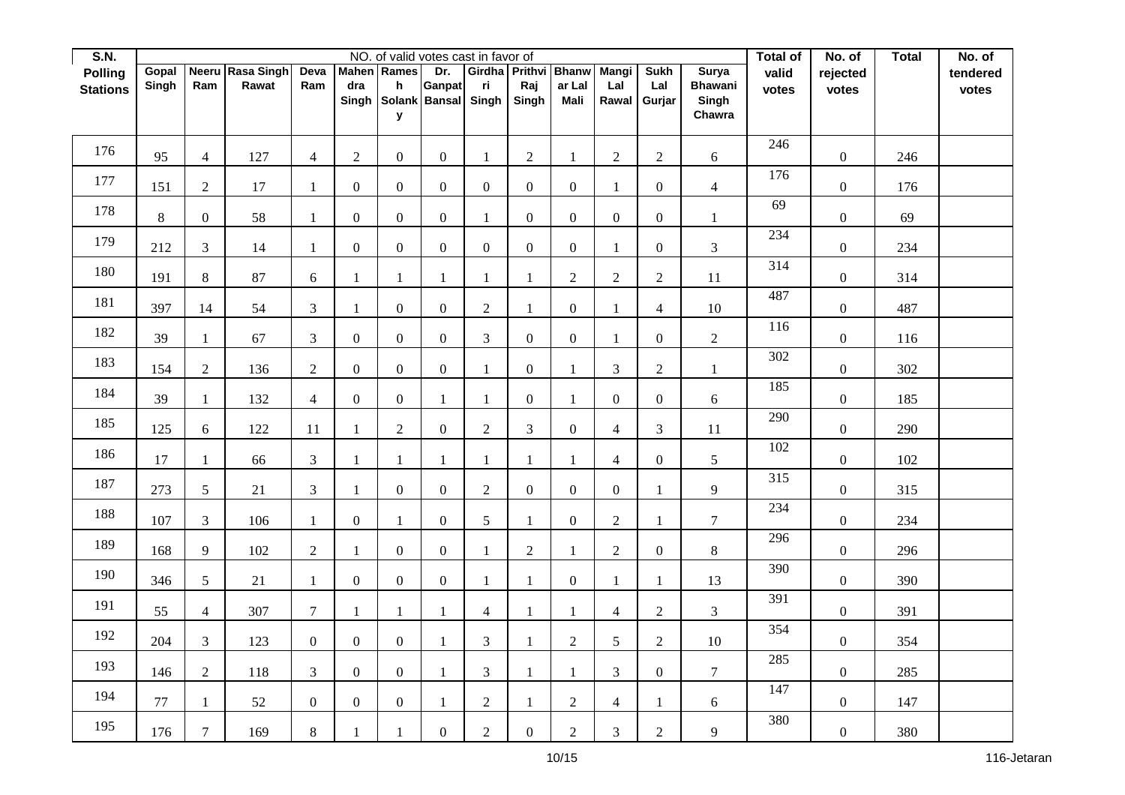| S.N.            |        |                  |                  |                  |                  |                  | NO. of valid votes cast in favor of |                |                      |                  |                  |                  |                 | Total of | No. of           | <b>Total</b> | No. of   |
|-----------------|--------|------------------|------------------|------------------|------------------|------------------|-------------------------------------|----------------|----------------------|------------------|------------------|------------------|-----------------|----------|------------------|--------------|----------|
| <b>Polling</b>  | Gopal  |                  | Neeru Rasa Singh | Deva             | <b>Mahen</b>     | Rames            | Dr.                                 |                | Girdha Prithvi Bhanw |                  | <b>Mangi</b>     | <b>Sukh</b>      | Surya           | valid    | rejected         |              | tendered |
| <b>Stations</b> | Singh  | Ram              | Rawat            | Ram              | dra              | h                | Ganpat                              | ri<br>Singh    | Raj                  | ar Lal<br>Mali   | Lal              | Lal              | <b>Bhawani</b>  | votes    | votes            |              | votes    |
|                 |        |                  |                  |                  | Singh            | У                | Solank Bansal                       |                | Singh                |                  | Rawal            | Gurjar           | Singh<br>Chawra |          |                  |              |          |
|                 |        |                  |                  |                  |                  |                  |                                     |                |                      |                  |                  |                  |                 |          |                  |              |          |
| 176             | 95     | $\overline{4}$   | 127              | $\overline{4}$   | $\overline{2}$   | $\mathbf{0}$     | $\boldsymbol{0}$                    | $\mathbf{1}$   | $\sqrt{2}$           | $\mathbf{1}$     | $\overline{2}$   | $\overline{2}$   | 6               | 246      | $\boldsymbol{0}$ | 246          |          |
| 177             |        |                  |                  |                  |                  |                  |                                     |                |                      |                  |                  |                  |                 | 176      |                  |              |          |
|                 | 151    | $\overline{2}$   | 17               | 1                | $\boldsymbol{0}$ | $\mathbf{0}$     | $\boldsymbol{0}$                    | $\mathbf{0}$   | $\mathbf{0}$         | $\boldsymbol{0}$ | 1                | $\overline{0}$   | $\overline{4}$  | 69       | $\boldsymbol{0}$ | 176          |          |
| 178             | 8      | $\mathbf{0}$     | 58               | $\mathbf{1}$     | $\boldsymbol{0}$ | $\mathbf{0}$     | $\mathbf{0}$                        | $\mathbf{1}$   | $\mathbf{0}$         | $\boldsymbol{0}$ | $\boldsymbol{0}$ | $\boldsymbol{0}$ | $\mathbf{1}$    |          | $\boldsymbol{0}$ | 69           |          |
| 179             | 212    | $\mathfrak{Z}$   | 14               | 1                | $\boldsymbol{0}$ | $\mathbf{0}$     | $\boldsymbol{0}$                    | $\overline{0}$ | $\overline{0}$       | $\mathbf{0}$     | 1                | $\boldsymbol{0}$ | $\mathfrak{Z}$  | 234      | $\boldsymbol{0}$ | 234          |          |
| 180             | 191    | $\,8\,$          | 87               | 6                | $\mathbf{1}$     | $\mathbf{1}$     | 1                                   | $\mathbf{1}$   | $\mathbf{1}$         | $\overline{2}$   | $\overline{c}$   | $\sqrt{2}$       | 11              | 314      | $\boldsymbol{0}$ | 314          |          |
| 181             | 397    | 14               | 54               | $\overline{3}$   | $\mathbf{1}$     | $\mathbf{0}$     | $\overline{0}$                      | $\overline{2}$ | $\mathbf{1}$         | $\boldsymbol{0}$ | 1                | $\overline{4}$   | 10              | 487      | $\boldsymbol{0}$ | 487          |          |
| 182             | 39     | -1               | 67               | $\mathfrak{Z}$   | $\boldsymbol{0}$ | $\boldsymbol{0}$ | $\boldsymbol{0}$                    | $\mathfrak{Z}$ | $\mathbf{0}$         | $\boldsymbol{0}$ | 1                | $\boldsymbol{0}$ | $\overline{2}$  | 116      | $\boldsymbol{0}$ | 116          |          |
| 183             | 154    | $\overline{c}$   | 136              | $\overline{2}$   | $\boldsymbol{0}$ | $\mathbf{0}$     | $\boldsymbol{0}$                    | 1              | $\boldsymbol{0}$     | $\mathbf{1}$     | 3                | $\sqrt{2}$       | 1               | 302      | $\boldsymbol{0}$ | 302          |          |
| 184             | 39     | $\mathbf{1}$     | 132              | $\overline{4}$   | $\boldsymbol{0}$ | $\boldsymbol{0}$ | 1                                   | $\mathbf{1}$   | $\mathbf{0}$         | $\mathbf{1}$     | $\overline{0}$   | $\mathbf{0}$     | 6               | 185      | $\boldsymbol{0}$ | 185          |          |
| 185             | 125    | $\boldsymbol{6}$ | 122              | 11               | $\mathbf{1}$     | $\sqrt{2}$       | $\overline{0}$                      | $\overline{c}$ | $\mathfrak 3$        | $\boldsymbol{0}$ | $\overline{4}$   | $\mathfrak{Z}$   | 11              | 290      | $\boldsymbol{0}$ | 290          |          |
| 186             | 17     | $\mathbf{1}$     | 66               | $\mathfrak{Z}$   | $\mathbf{1}$     | $\mathbf{1}$     | 1                                   | $\mathbf{1}$   | $\mathbf{1}$         | $\mathbf{1}$     | $\overline{4}$   | $\mathbf{0}$     | $\sqrt{5}$      | 102      | $\boldsymbol{0}$ | 102          |          |
| 187             | 273    | $\mathfrak{S}$   | 21               | $\mathfrak{Z}$   | $\mathbf{1}$     | $\mathbf{0}$     | $\boldsymbol{0}$                    | $\overline{2}$ | $\mathbf{0}$         | $\boldsymbol{0}$ | $\overline{0}$   | $\mathbf{1}$     | 9               | 315      | $\boldsymbol{0}$ | 315          |          |
| 188             | 107    | $\overline{3}$   | 106              | $\mathbf{1}$     | $\boldsymbol{0}$ | 1                | $\boldsymbol{0}$                    | 5              | $\mathbf{1}$         | $\boldsymbol{0}$ | $\overline{2}$   | $\mathbf{1}$     | $\overline{7}$  | 234      | $\boldsymbol{0}$ | 234          |          |
| 189             | 168    | 9                | 102              | $\sqrt{2}$       | $\mathbf{1}$     | $\boldsymbol{0}$ | $\boldsymbol{0}$                    | $\mathbf{1}$   | $\sqrt{2}$           | $\mathbf{1}$     | $\overline{2}$   | $\boldsymbol{0}$ | $8\,$           | 296      | $\boldsymbol{0}$ | 296          |          |
| 190             | 346    | $5\overline{)}$  | 21               | $\mathbf{1}$     | $\boldsymbol{0}$ | $\boldsymbol{0}$ | $\boldsymbol{0}$                    | $\mathbf{1}$   | $\mathbf{1}$         | $\boldsymbol{0}$ | $\mathbf{1}$     | $\mathbf{1}$     | 13              | 390      | $\boldsymbol{0}$ | 390          |          |
| 191             | 55     | $\overline{4}$   | 307              | $\tau$           | 1                | 1                | 1                                   | $\overline{4}$ | $\mathbf{1}$         | 1                | $\overline{4}$   | $\sqrt{2}$       | $\mathfrak{Z}$  | 391      | $\boldsymbol{0}$ | 391          |          |
| 192             | 204    | $\mathfrak{Z}$   | 123              | $\overline{0}$   | $\boldsymbol{0}$ | $\mathbf{0}$     | $\mathbf{1}$                        | 3              | $\mathbf{1}$         | $\overline{2}$   | 5                | $\sqrt{2}$       | $10\,$          | 354      | $\boldsymbol{0}$ | 354          |          |
| 193             | 146    | $\overline{2}$   | 118              | $\overline{3}$   | $\boldsymbol{0}$ | $\mathbf{0}$     | 1                                   | $\overline{3}$ | $\mathbf{1}$         | 1                | 3                | $\boldsymbol{0}$ | $7\overline{ }$ | 285      | $\boldsymbol{0}$ | 285          |          |
| 194             | $77\,$ | $\mathbf{1}$     | 52               | $\boldsymbol{0}$ | $\boldsymbol{0}$ | $\overline{0}$   | 1                                   | $\overline{2}$ | $\mathbf{1}$         | $\overline{c}$   | $\overline{4}$   | $\mathbf{1}$     | 6               | 147      | $\boldsymbol{0}$ | 147          |          |
| 195             | 176    | $\tau$           | 169              | $8\,$            | $\mathbf{1}$     | $\mathbf{1}$     | $\boldsymbol{0}$                    | $\overline{c}$ | $\boldsymbol{0}$     | $\overline{2}$   | 3                | $\sqrt{2}$       | 9               | 380      | $\boldsymbol{0}$ | 380          |          |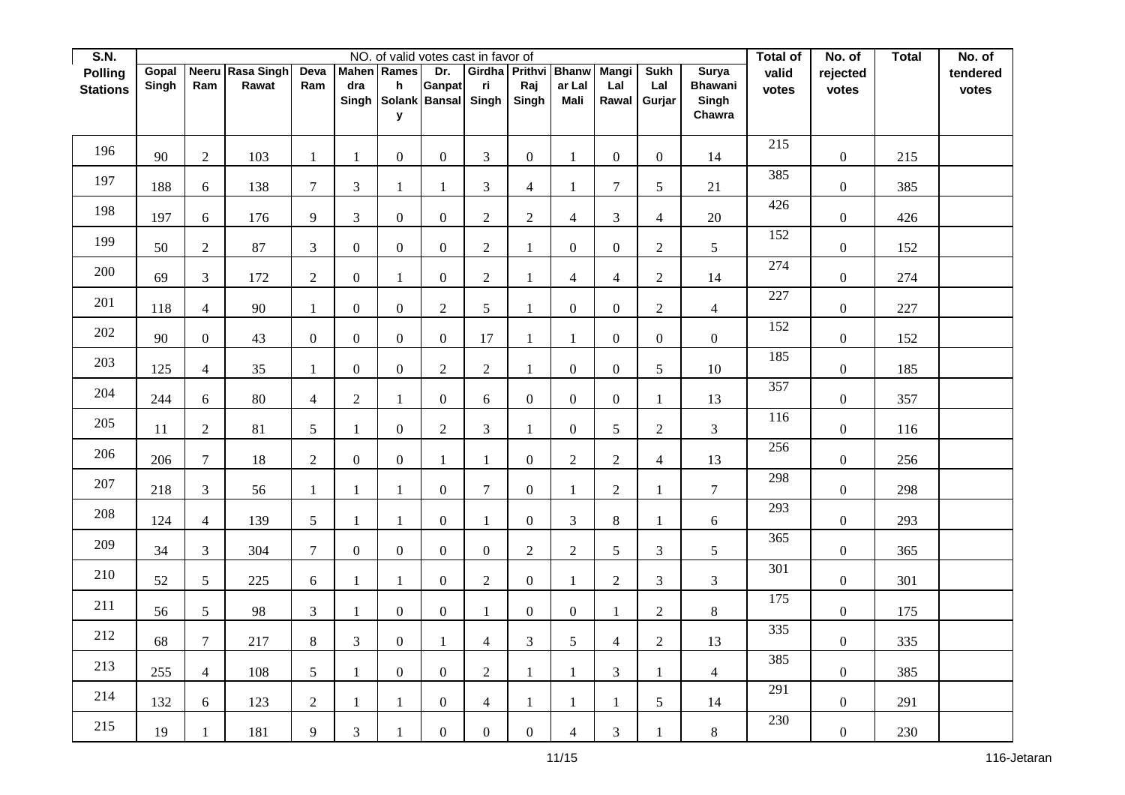| S.N.            |        |                  |                  |                  |                  |                  | NO. of valid votes cast in favor of |                |                      |                  |                  |                  |                         | Total of | No. of           | <b>Total</b> | No. of   |
|-----------------|--------|------------------|------------------|------------------|------------------|------------------|-------------------------------------|----------------|----------------------|------------------|------------------|------------------|-------------------------|----------|------------------|--------------|----------|
| <b>Polling</b>  | Gopal  |                  | Neeru Rasa Singh | Deva             | <b>Mahen</b>     | Rames            | Dr.                                 |                | Girdha Prithvi Bhanw |                  | <b>Mangi</b>     | <b>Sukh</b>      | Surya                   | valid    | rejected         |              | tendered |
| <b>Stations</b> | Singh  | Ram              | Rawat            | Ram              | dra<br>Singh     | h                | Ganpat<br>Solank Bansal             | ri<br>Singh    | Raj<br>Singh         | ar Lal<br>Mali   | Lal<br>Rawal     | Lal<br>Gurjar    | <b>Bhawani</b><br>Singh | votes    | votes            |              | votes    |
|                 |        |                  |                  |                  |                  | У                |                                     |                |                      |                  |                  |                  | Chawra                  |          |                  |              |          |
|                 |        |                  |                  |                  |                  |                  |                                     |                |                      |                  |                  |                  |                         |          |                  |              |          |
| 196             | 90     | $\overline{2}$   | 103              | $\mathbf{1}$     | $\mathbf{1}$     | $\mathbf{0}$     | $\boldsymbol{0}$                    | $\overline{3}$ | $\overline{0}$       | $\mathbf{1}$     | $\overline{0}$   | $\mathbf{0}$     | 14                      | 215      | $\boldsymbol{0}$ | 215          |          |
| 197             | 188    | $\boldsymbol{6}$ | 138              | $\overline{7}$   | $\mathfrak{Z}$   | 1                | $\mathbf{1}$                        | 3              | $\overline{4}$       | $\mathbf{1}$     | $\tau$           | 5                | 21                      | 385      | $\boldsymbol{0}$ | 385          |          |
| 198             | 197    | 6                | 176              | 9                | $\mathfrak{Z}$   | $\mathbf{0}$     | $\boldsymbol{0}$                    | $\overline{c}$ | $\sqrt{2}$           | 4                | 3                | $\overline{4}$   | 20                      | 426      | $\boldsymbol{0}$ | 426          |          |
| 199             | 50     | $\overline{2}$   | 87               | $\overline{3}$   | $\boldsymbol{0}$ | $\mathbf{0}$     | $\boldsymbol{0}$                    | $\overline{2}$ | $\mathbf{1}$         | $\mathbf{0}$     | $\overline{0}$   | $\mathbf{2}$     | 5 <sup>5</sup>          | 152      | $\boldsymbol{0}$ | 152          |          |
| 200             | 69     | $\mathfrak{Z}$   | 172              | $\sqrt{2}$       | $\boldsymbol{0}$ | $\mathbf{1}$     | $\boldsymbol{0}$                    | $\overline{2}$ | $\mathbf{1}$         | 4                | $\overline{4}$   | $\overline{2}$   | 14                      | 274      | $\boldsymbol{0}$ | 274          |          |
| 201             | 118    | $\overline{4}$   | 90               | $\mathbf{1}$     | $\boldsymbol{0}$ | $\mathbf{0}$     | $\overline{2}$                      | 5              | $\mathbf{1}$         | $\mathbf{0}$     | $\overline{0}$   | $\overline{2}$   | $\overline{4}$          | 227      | $\boldsymbol{0}$ | 227          |          |
| 202             | 90     | $\mathbf{0}$     | 43               | $\boldsymbol{0}$ | $\boldsymbol{0}$ | $\boldsymbol{0}$ | $\boldsymbol{0}$                    | 17             | $\mathbf{1}$         | 1                | $\overline{0}$   | $\boldsymbol{0}$ | $\overline{0}$          | 152      | $\boldsymbol{0}$ | 152          |          |
| 203             | 125    | $\overline{4}$   | 35               | 1                | $\boldsymbol{0}$ | $\mathbf{0}$     | $\overline{2}$                      | $\overline{2}$ | $\mathbf{1}$         | $\boldsymbol{0}$ | $\boldsymbol{0}$ | 5                | $10\,$                  | 185      | $\boldsymbol{0}$ | 185          |          |
| 204             | 244    | 6                | 80               | $\overline{4}$   | $\overline{2}$   | $\mathbf{1}$     | $\boldsymbol{0}$                    | 6              | $\mathbf{0}$         | $\mathbf{0}$     | $\overline{0}$   | $\mathbf{1}$     | 13                      | 357      | $\boldsymbol{0}$ | 357          |          |
| 205             | $11\,$ | $\boldsymbol{2}$ | 81               | $\mathfrak{S}$   | $\mathbf{1}$     | $\overline{0}$   | $\overline{c}$                      | 3              | $\mathbf{1}$         | $\overline{0}$   | 5                | $\sqrt{2}$       | $\mathfrak{Z}$          | 116      | $\boldsymbol{0}$ | 116          |          |
| 206             | 206    | $\overline{7}$   | 18               | $\sqrt{2}$       | $\boldsymbol{0}$ | $\mathbf{0}$     | 1                                   | $\mathbf{1}$   | $\boldsymbol{0}$     | $\overline{c}$   | $\overline{c}$   | $\overline{4}$   | 13                      | 256      | $\boldsymbol{0}$ | 256          |          |
| 207             | 218    | $\mathfrak{Z}$   | 56               | $\mathbf{1}$     | $\mathbf{1}$     | 1                | $\boldsymbol{0}$                    | $\overline{7}$ | $\mathbf{0}$         | $\mathbf{1}$     | $\overline{2}$   | $\mathbf{1}$     | $\overline{7}$          | 298      | $\boldsymbol{0}$ | 298          |          |
| 208             | 124    | $\overline{4}$   | 139              | 5                | $\mathbf{1}$     | 1                | $\boldsymbol{0}$                    | $\mathbf{1}$   | $\mathbf{0}$         | 3                | 8                | 1                | 6                       | 293      | $\boldsymbol{0}$ | 293          |          |
| 209             | 34     | $\mathfrak{Z}$   | 304              | $\overline{7}$   | $\boldsymbol{0}$ | $\boldsymbol{0}$ | $\boldsymbol{0}$                    | $\mathbf{0}$   | $\sqrt{2}$           | $\overline{2}$   | 5                | $\mathfrak{Z}$   | $\mathfrak{S}$          | 365      | $\boldsymbol{0}$ | 365          |          |
| 210             | 52     | 5                | 225              | 6                | $\mathbf{1}$     | $\mathbf{1}$     | $\boldsymbol{0}$                    | $\overline{c}$ | $\mathbf{0}$         | $\mathbf{1}$     | $\overline{c}$   | $\mathfrak{Z}$   | $\overline{3}$          | 301      | $\boldsymbol{0}$ | 301          |          |
| 211             | 56     | 5                | $\mathbf{98}$    | $\mathfrak{Z}$   | 1                | $\overline{0}$   | $\mathbf{0}$                        | $\mathbf{1}$   | $\boldsymbol{0}$     | $\mathbf{0}$     | $\mathbf{1}$     | $\overline{2}$   | $8\,$                   | 175      | $\boldsymbol{0}$ | 175          |          |
| 212             | 68     | $\tau$           | 217              | 8                | $\mathfrak{Z}$   | $\boldsymbol{0}$ | $\mathbf{1}$                        | $\overline{4}$ | $\mathfrak{Z}$       | 5                | $\overline{4}$   | $\sqrt{2}$       | 13                      | 335      | $\boldsymbol{0}$ | 335          |          |
| 213             | 255    | $\overline{4}$   | 108              | 5                | $\mathbf{1}$     | $\boldsymbol{0}$ | $\boldsymbol{0}$                    | $\overline{2}$ | $\mathbf{1}$         | 1                | 3                | $\mathbf{1}$     | $\overline{4}$          | 385      | $\boldsymbol{0}$ | 385          |          |
| 214             | 132    | 6                | 123              | $\sqrt{2}$       | $\mathbf{1}$     | $\mathbf{1}$     | $\mathbf{0}$                        | $\overline{4}$ | $\mathbf{1}$         | 1                | 1                | 5                | 14                      | 291      | $\boldsymbol{0}$ | 291          |          |
| 215             | 19     | 1                | 181              | 9                | 3                | $\mathbf{1}$     | $\boldsymbol{0}$                    | $\overline{0}$ | $\boldsymbol{0}$     | $\overline{4}$   | $\mathfrak{Z}$   | $\mathbf{1}$     | $8\,$                   | 230      | $\boldsymbol{0}$ | 230          |          |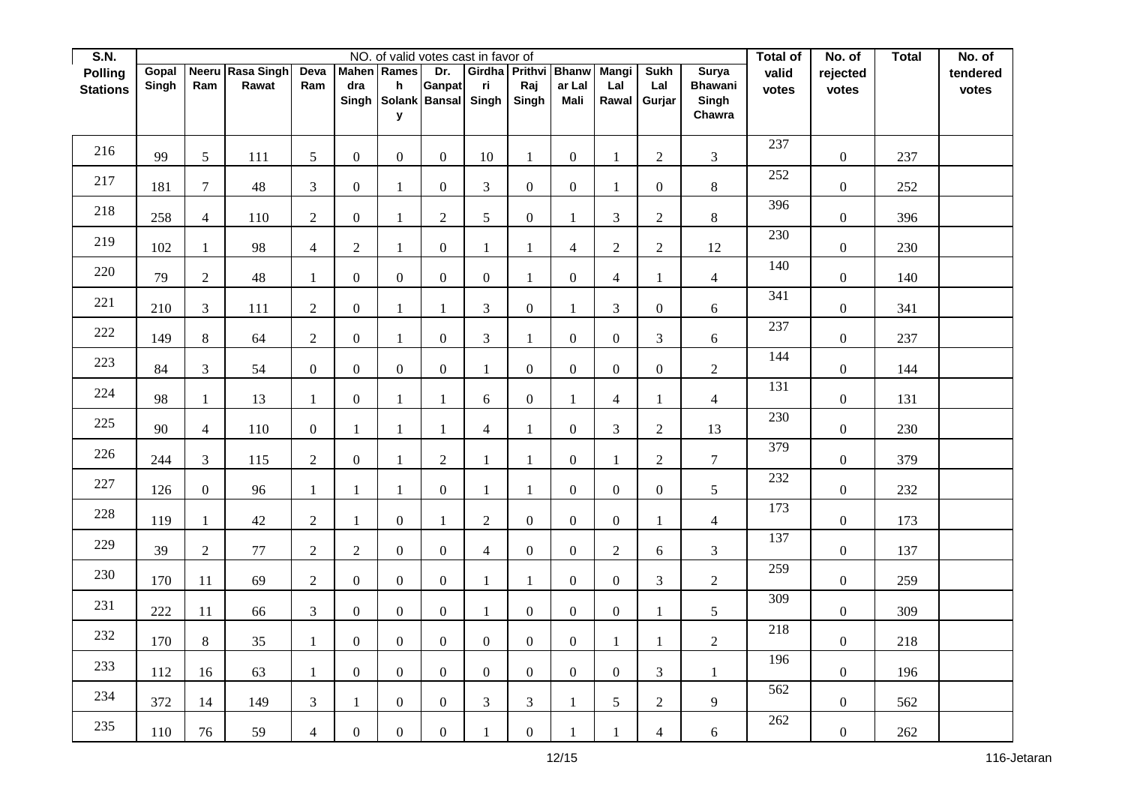| S.N.            |       |                 |                  |                  |                  |                  | NO. of valid votes cast in favor of |                |                             |                  |                  |                             |                         | Total of | No. of           | <b>Total</b> | No. of   |
|-----------------|-------|-----------------|------------------|------------------|------------------|------------------|-------------------------------------|----------------|-----------------------------|------------------|------------------|-----------------------------|-------------------------|----------|------------------|--------------|----------|
| <b>Polling</b>  | Gopal |                 | Neeru Rasa Singh | Deva             | <b>Mahen</b>     | Rames            | Dr.                                 |                | Girdha Prithvi Bhanw        |                  | <b>Mangi</b>     | <b>Sukh</b>                 | Surya                   | valid    | rejected         |              | tendered |
| <b>Stations</b> | Singh | Ram             | Rawat            | Ram              | dra<br>Singh     | h                | Ganpat<br>Solank Bansal Singh       | ri             | Raj<br>Singh                | ar Lal<br>Mali   | Lal<br>Rawal     | Lal<br>Gurjar               | <b>Bhawani</b><br>Singh | votes    | votes            |              | votes    |
|                 |       |                 |                  |                  |                  | У                |                                     |                |                             |                  |                  |                             | Chawra                  |          |                  |              |          |
|                 |       |                 |                  |                  |                  |                  |                                     |                |                             |                  |                  |                             |                         |          |                  |              |          |
| 216             | 99    | $5\overline{)}$ | 111              | $5\overline{)}$  | $\boldsymbol{0}$ | $\mathbf{0}$     | $\boldsymbol{0}$                    | 10             | $\mathbf{1}$                | $\mathbf{0}$     | 1                | $\overline{2}$              | $\overline{3}$          | 237      | $\boldsymbol{0}$ | 237          |          |
| 217             | 181   | $\overline{7}$  | 48               | $\mathfrak{Z}$   | $\boldsymbol{0}$ | $\mathbf{1}$     | $\mathbf{0}$                        | 3              | $\mathbf{0}$                | $\boldsymbol{0}$ | 1                | $\boldsymbol{0}$            | $8\,$                   | 252      | $\boldsymbol{0}$ | 252          |          |
| 218             | 258   | $\overline{4}$  | 110              | $\sqrt{2}$       | $\boldsymbol{0}$ | $\mathbf{1}$     | $\overline{2}$                      | 5              | $\boldsymbol{0}$            | $\mathbf{1}$     | $\mathfrak{Z}$   | $\sqrt{2}$                  | $8\,$                   | 396      | $\boldsymbol{0}$ | 396          |          |
| 219             | 102   | 1               | 98               | $\overline{4}$   | $\overline{2}$   | $\mathbf{1}$     | $\boldsymbol{0}$                    | $\mathbf{1}$   | $\mathbf{1}$                | $\overline{4}$   | $\overline{2}$   | $\overline{2}$              | 12                      | 230      | $\boldsymbol{0}$ | 230          |          |
| 220             | 79    | $\overline{2}$  | 48               | $\mathbf{1}$     | $\boldsymbol{0}$ | $\mathbf{0}$     | $\boldsymbol{0}$                    | $\mathbf{0}$   | $\mathbf{1}$                | $\boldsymbol{0}$ | $\overline{4}$   | $\mathbf{1}$                | $\overline{4}$          | 140      | $\boldsymbol{0}$ | 140          |          |
| 221             | 210   | $\mathfrak{Z}$  | 111              | $\overline{2}$   | $\boldsymbol{0}$ | 1                | $\mathbf{1}$                        | 3              | $\boldsymbol{0}$            | $\mathbf{1}$     | 3                | $\mathbf{0}$                | 6                       | 341      | $\boldsymbol{0}$ | 341          |          |
| 222             | 149   | $8\,$           | 64               | $\overline{2}$   | $\boldsymbol{0}$ | $\mathbf{1}$     | $\boldsymbol{0}$                    | $\overline{3}$ | $\mathbf{1}$                | $\mathbf{0}$     | $\overline{0}$   | $\ensuremath{\mathfrak{Z}}$ | 6                       | 237      | $\boldsymbol{0}$ | 237          |          |
| 223             | 84    | $\mathfrak{Z}$  | 54               | $\boldsymbol{0}$ | $\boldsymbol{0}$ | $\mathbf{0}$     | $\boldsymbol{0}$                    | $\mathbf{1}$   | $\boldsymbol{0}$            | $\boldsymbol{0}$ | $\boldsymbol{0}$ | $\boldsymbol{0}$            | $\overline{2}$          | 144      | $\boldsymbol{0}$ | 144          |          |
| 224             | 98    | $\mathbf{1}$    | 13               | $\mathbf{1}$     | $\boldsymbol{0}$ | $\mathbf{1}$     | 1                                   | 6              | $\mathbf{0}$                | $\mathbf{1}$     | $\overline{4}$   | $\mathbf{1}$                | $\overline{4}$          | 131      | $\boldsymbol{0}$ | 131          |          |
| 225             | 90    | $\overline{4}$  | 110              | $\boldsymbol{0}$ | 1                | 1                | $\mathbf{1}$                        | $\overline{4}$ | $\mathbf{1}$                | $\boldsymbol{0}$ | 3                | $\sqrt{2}$                  | 13                      | 230      | $\boldsymbol{0}$ | 230          |          |
| 226             | 244   | $\mathfrak{Z}$  | 115              | $\sqrt{2}$       | $\boldsymbol{0}$ | $\mathbf{1}$     | $\overline{c}$                      | $\mathbf{1}$   | $\mathbf{1}$                | $\boldsymbol{0}$ | 1                | $\overline{2}$              | $\tau$                  | 379      | $\boldsymbol{0}$ | 379          |          |
| 227             | 126   | $\overline{0}$  | 96               | $\mathbf{1}$     | $\mathbf{1}$     | 1                | $\boldsymbol{0}$                    | $\mathbf{1}$   | $\mathbf{1}$                | $\boldsymbol{0}$ | $\overline{0}$   | $\mathbf{0}$                | 5                       | 232      | $\boldsymbol{0}$ | 232          |          |
| 228             | 119   | $\mathbf{1}$    | 42               | $\overline{2}$   | $\mathbf{1}$     | $\mathbf{0}$     | 1                                   | $\overline{2}$ | $\mathbf{0}$                | $\mathbf{0}$     | $\overline{0}$   | $\mathbf{1}$                | $\overline{4}$          | 173      | $\boldsymbol{0}$ | 173          |          |
| 229             | 39    | $\sqrt{2}$      | 77               | $\sqrt{2}$       | $\sqrt{2}$       | $\boldsymbol{0}$ | $\boldsymbol{0}$                    | $\overline{4}$ | $\boldsymbol{0}$            | $\boldsymbol{0}$ | $\overline{2}$   | 6                           | $\mathfrak{Z}$          | 137      | $\boldsymbol{0}$ | 137          |          |
| 230             | 170   | 11              | 69               | $\sqrt{2}$       | $\boldsymbol{0}$ | $\mathbf{0}$     | $\boldsymbol{0}$                    | $\mathbf{1}$   | $\mathbf{1}$                | $\mathbf{0}$     | $\overline{0}$   | $\mathfrak{Z}$              | $\overline{2}$          | 259      | $\boldsymbol{0}$ | 259          |          |
| 231             | 222   | $11$            | 66               | $\mathfrak{Z}$   | $\mathbf{0}$     | $\overline{0}$   | $\mathbf{0}$                        | $\mathbf{1}$   | $\boldsymbol{0}$            | $\boldsymbol{0}$ | $\overline{0}$   | $\mathbf{1}$                | 5                       | 309      | $\boldsymbol{0}$ | 309          |          |
| 232             | 170   | $8\,$           | 35               | $\mathbf{1}$     | $\boldsymbol{0}$ | $\mathbf{0}$     | $\boldsymbol{0}$                    | $\overline{0}$ | $\mathbf{0}$                | $\boldsymbol{0}$ | 1                | $\mathbf{1}$                | $\overline{2}$          | 218      | $\boldsymbol{0}$ | 218          |          |
| 233             | 112   | 16              | 63               | $\mathbf{1}$     | $\boldsymbol{0}$ | $\mathbf{0}$     | $\boldsymbol{0}$                    | $\overline{0}$ | $\boldsymbol{0}$            | $\mathbf{0}$     | $\overline{0}$   | 3                           | 1                       | 196      | $\boldsymbol{0}$ | 196          |          |
| 234             | 372   | 14              | 149              | $\mathfrak{Z}$   | $\mathbf{1}$     | $\overline{0}$   | $\mathbf{0}$                        | 3              | $\ensuremath{\mathfrak{Z}}$ | 1                | 5                | $\sqrt{2}$                  | 9                       | 562      | $\boldsymbol{0}$ | 562          |          |
| 235             | 110   | 76              | 59               | $\overline{4}$   | $\boldsymbol{0}$ | $\boldsymbol{0}$ | $\boldsymbol{0}$                    | $\mathbf{1}$   | $\boldsymbol{0}$            |                  |                  | $\overline{4}$              | $\boldsymbol{6}$        | 262      | $\boldsymbol{0}$ | 262          |          |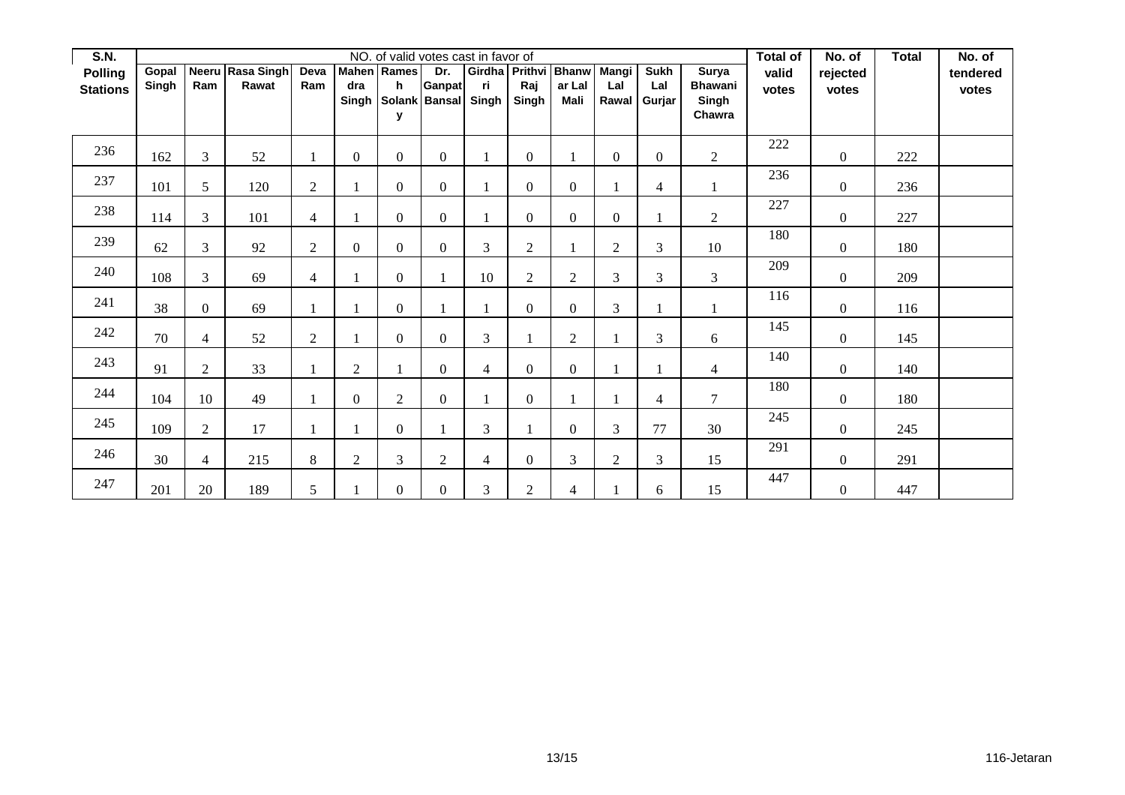| <b>S.N.</b>     |                | NO. of valid votes cast in favor of |                           |                |                |                  |                      |     |                  |                                |                  |                    |                         |       |                | <b>Total</b> | No. of   |
|-----------------|----------------|-------------------------------------|---------------------------|----------------|----------------|------------------|----------------------|-----|------------------|--------------------------------|------------------|--------------------|-------------------------|-------|----------------|--------------|----------|
| <b>Polling</b>  | Gopal<br>Singh | Ram                                 | Neeru Rasa Singh<br>Rawat | Deva<br>Ram    | dra            | Mahen Rames<br>h | Dr.<br><b>Ganpat</b> | ri. | Raj              | Girdha Prithvi Bhanw<br>ar Lal | Mangi<br>Lal     | <b>Sukh</b><br>Lal | Surya<br><b>Bhawani</b> | valid | rejected       |              | tendered |
| <b>Stations</b> |                |                                     |                           |                | Singh          |                  | Solank Bansal Singh  |     | Singh            | Mali                           | Rawal            | Gurjar             | Singh                   | votes | votes          |              | votes    |
|                 |                |                                     |                           |                |                | У                |                      |     |                  |                                |                  |                    | Chawra                  |       |                |              |          |
| 236             | 162            | 3                                   | 52                        |                | $\mathbf{0}$   | $\overline{0}$   | $\mathbf{0}$         |     | $\overline{0}$   |                                | $\boldsymbol{0}$ | $\boldsymbol{0}$   | $\overline{2}$          | 222   | $\overline{0}$ | 222          |          |
| 237             | 101            | 5                                   | 120                       | $\overline{2}$ |                | $\overline{0}$   | $\mathbf{0}$         |     | $\overline{0}$   | $\overline{0}$                 |                  | $\overline{4}$     |                         | 236   | $\overline{0}$ | 236          |          |
| 238             | 114            | 3                                   | 101                       | $\overline{4}$ | $\mathbf{1}$   | $\overline{0}$   | $\mathbf{0}$         |     | $\overline{0}$   | $\mathbf{0}$                   | $\boldsymbol{0}$ | $\mathbf{1}$       | $\overline{2}$          | 227   | $\overline{0}$ | 227          |          |
| 239             | 62             | 3                                   | 92                        | $\overline{2}$ | $\mathbf{0}$   | $\overline{0}$   | $\Omega$             | 3   | $\boldsymbol{2}$ |                                | $\overline{2}$   | 3                  | 10                      | 180   | $\overline{0}$ | 180          |          |
| 240             | 108            | 3                                   | 69                        | $\overline{4}$ | $\mathbf{1}$   | $\overline{0}$   |                      | 10  | $\boldsymbol{2}$ | $\overline{2}$                 | 3                | $\mathfrak{Z}$     | 3                       | 209   | $\overline{0}$ | 209          |          |
| 241             | 38             | $\overline{0}$                      | 69                        |                |                | $\overline{0}$   |                      |     | $\overline{0}$   | $\theta$                       | 3                | $\mathbf{1}$       |                         | 116   | $\overline{0}$ | 116          |          |
| 242             | 70             | $\overline{4}$                      | 52                        | $\overline{2}$ | $\mathbf{1}$   | $\Omega$         | $\Omega$             | 3   |                  | $\overline{2}$                 |                  | 3                  | 6                       | 145   | $\overline{0}$ | 145          |          |
| 243             | 91             | $\overline{2}$                      | 33                        |                | $\overline{2}$ |                  | $\Omega$             | 4   | $\overline{0}$   | $\theta$                       |                  |                    | $\overline{4}$          | 140   | $\Omega$       | 140          |          |
| 244             | 104            | 10                                  | 49                        |                | $\mathbf{0}$   | $\overline{2}$   | $\overline{0}$       |     | $\boldsymbol{0}$ |                                |                  | 4                  | 7                       | 180   | $\overline{0}$ | 180          |          |
| 245             | 109            | $\overline{2}$                      | 17                        | 1              | $\mathbf{1}$   | $\overline{0}$   |                      | 3   | 1                | $\Omega$                       | 3                | 77                 | 30                      | 245   | $\overline{0}$ | 245          |          |
| 246             | 30             | $\overline{4}$                      | 215                       | 8              | $\overline{2}$ | 3                | $\overline{2}$       | 4   | $\overline{0}$   | 3                              | $\overline{2}$   | 3                  | 15                      | 291   | $\overline{0}$ | 291          |          |
| 247             | 201            | 20                                  | 189                       | 5              | $\mathbf{1}$   | $\overline{0}$   | $\boldsymbol{0}$     | 3   | $\overline{2}$   | $\overline{4}$                 |                  | 6                  | 15                      | 447   | $\overline{0}$ | 447          |          |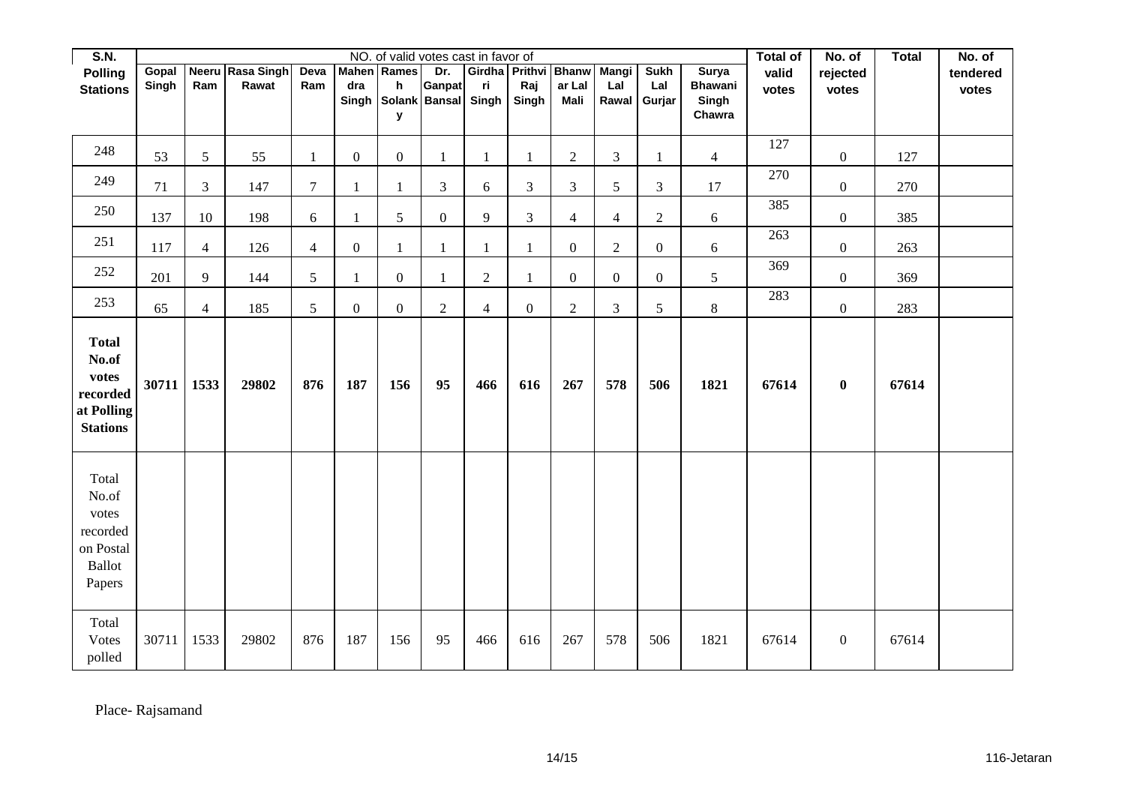| <b>S.N.</b>                                                                 |                | NO. of valid votes cast in favor of<br><b>Total of</b><br>No. of<br>Girdha Prithvi Bhanw |                           |                |                  |                                               |                      |                |                  |                       |                       |                              |                                                   |                |                   | <b>Total</b> | No. of            |
|-----------------------------------------------------------------------------|----------------|------------------------------------------------------------------------------------------|---------------------------|----------------|------------------|-----------------------------------------------|----------------------|----------------|------------------|-----------------------|-----------------------|------------------------------|---------------------------------------------------|----------------|-------------------|--------------|-------------------|
| <b>Polling</b><br><b>Stations</b>                                           | Gopal<br>Singh | Ram                                                                                      | Neeru Rasa Singh<br>Rawat | Deva<br>Ram    | dra<br>Singh     | <b>Mahen</b> Rames<br>h<br>Solank Bansal<br>У | Dr.<br><b>Ganpat</b> | ri<br>Singh    | Raj<br>Singh     | ar Lal<br><b>Mali</b> | Mangi<br>Lal<br>Rawal | <b>Sukh</b><br>Lal<br>Gurjar | <b>Surya</b><br><b>Bhawani</b><br>Singh<br>Chawra | valid<br>votes | rejected<br>votes |              | tendered<br>votes |
| 248                                                                         | 53             | $\sqrt{5}$                                                                               | 55                        | 1              | $\boldsymbol{0}$ | $\mathbf{0}$                                  | 1                    | 1              | $\mathbf{1}$     | $\sqrt{2}$            | $\mathfrak{Z}$        | $\mathbf{1}$                 | $\overline{4}$                                    | 127            | $\boldsymbol{0}$  | 127          |                   |
| 249                                                                         | 71             | $\mathfrak{Z}$                                                                           | 147                       | $\overline{7}$ | $\mathbf{1}$     | 1                                             | 3                    | 6              | $\mathfrak{Z}$   | $\mathfrak{Z}$        | $\mathfrak{S}$        | $\mathfrak{Z}$               | 17                                                | 270            | $\boldsymbol{0}$  | 270          |                   |
| 250                                                                         | 137            | 10                                                                                       | 198                       | 6              | $\mathbf{1}$     | 5                                             | $\mathbf{0}$         | 9              | $\mathfrak{Z}$   | $\overline{4}$        | $\overline{4}$        | $\sqrt{2}$                   | 6                                                 | 385            | $\boldsymbol{0}$  | 385          |                   |
| 251                                                                         | 117            | $\overline{4}$                                                                           | 126                       | $\overline{4}$ | $\boldsymbol{0}$ | $\mathbf{1}$                                  | $\mathbf{1}$         | 1              | $\mathbf{1}$     | $\boldsymbol{0}$      | $\overline{2}$        | $\boldsymbol{0}$             | $\boldsymbol{6}$                                  | 263            | $\boldsymbol{0}$  | 263          |                   |
| 252                                                                         | 201            | 9                                                                                        | 144                       | 5              | $\mathbf{1}$     | $\overline{0}$                                | 1                    | $\overline{2}$ | $\mathbf{1}$     | $\mathbf{0}$          | $\overline{0}$        | $\mathbf{0}$                 | 5                                                 | 369            | $\boldsymbol{0}$  | 369          |                   |
| 253                                                                         | 65             | $\overline{4}$                                                                           | 185                       | $\mathfrak{S}$ | $\boldsymbol{0}$ | $\mathbf{0}$                                  | $\overline{c}$       | $\overline{4}$ | $\boldsymbol{0}$ | $\overline{2}$        | 3                     | 5                            | $8\,$                                             | 283            | $\boldsymbol{0}$  | 283          |                   |
| <b>Total</b><br>No.of<br>votes<br>recorded<br>at Polling<br><b>Stations</b> | 30711          | 1533                                                                                     | 29802                     | 876            | 187              | 156                                           | 95                   | 466            | 616              | 267                   | 578                   | 506                          | 1821                                              | 67614          | $\bf{0}$          | 67614        |                   |
| Total<br>No.of<br>votes<br>recorded<br>on Postal<br><b>Ballot</b><br>Papers |                |                                                                                          |                           |                |                  |                                               |                      |                |                  |                       |                       |                              |                                                   |                |                   |              |                   |
| Total<br><b>Votes</b><br>polled                                             | 30711          | 1533                                                                                     | 29802                     | 876            | 187              | 156                                           | 95                   | 466            | 616              | 267                   | 578                   | 506                          | 1821                                              | 67614          | $\overline{0}$    | 67614        |                   |

Place- Rajsamand